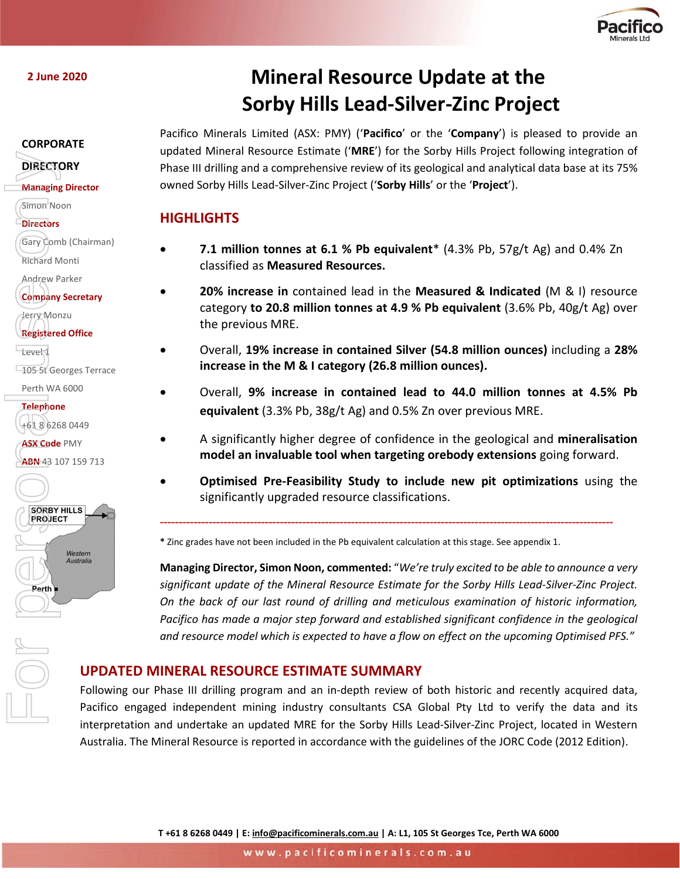

**2 June 2020**

#### **CORPORATE**

## **DIRECTORY**

**Managing Director**

Simon Noon

- **Directors**
- Gary Comb (Chairman) Richard Monti

Andrew Parker

Jerry Monzu **Registered Office**

**Level** 

**105 St Georges Terrace** 

Perth WA 6000

**Telephone** +61 8 6268 0449

**ASX Code** PMY



**Company Secretary**

**ABN 43 107 159 713** 

# **Mineral Resource Update at the Sorby Hills Lead-Silver-Zinc Project**

Pacifico Minerals Limited (ASX: PMY) ('**Pacifico**' or the '**Company**') is pleased to provide an updated Mineral Resource Estimate ('**MRE**') for the Sorby Hills Project following integration of Phase III drilling and a comprehensive review of its geological and analytical data base at its 75% owned Sorby Hills Lead-Silver-Zinc Project ('**Sorby Hills**' or the '**Project**').

# **HIGHLIGHTS**

- **7.1 million tonnes at 6.1 % Pb equivalent**\* (4.3% Pb, 57g/t Ag) and 0.4% Zn classified as **Measured Resources.**
- **20% increase in** contained lead in the **Measured & Indicated** (M & I) resource category **to 20.8 million tonnes at 4.9 % Pb equivalent** (3.6% Pb, 40g/t Ag) over the previous MRE.
- Overall, **19% increase in contained Silver (54.8 million ounces)** including a **28% increase in the M & I category (26.8 million ounces).**
- Overall, **9% increase in contained lead to 44.0 million tonnes at 4.5% Pb equivalent** (3.3% Pb, 38g/t Ag) and 0.5% Zn over previous MRE.
- A significantly higher degree of confidence in the geological and **mineralisation model an invaluable tool when targeting orebody extensions** going forward.
- **Optimised Pre-Feasibility Study to include new pit optimizations** using the significantly upgraded resource classifications.

*-------------------------------------------------------------------------------------------------------------------------*

**\*** Zinc grades have not been included in the Pb equivalent calculation at this stage. See appendix 1.

**Managing Director, Simon Noon, commented:** "*We're truly excited to be able to announce a very significant update of the Mineral Resource Estimate for the Sorby Hills Lead-Silver-Zinc Project. On the back of our last round of drilling and meticulous examination of historic information, Pacifico has made a major step forward and established significant confidence in the geological and resource model which is expected to have a flow on effect on the upcoming Optimised PFS."*

# **UPDATED MINERAL RESOURCE ESTIMATE SUMMARY**

Following our Phase III drilling program and an in-depth review of both historic and recently acquired data, Pacifico engaged independent mining industry consultants CSA Global Pty Ltd to verify the data and its interpretation and undertake an updated MRE for the Sorby Hills Lead-Silver-Zinc Project, located in Western Australia. The Mineral Resource is reported in accordance with the guidelines of the JORC Code (2012 Edition).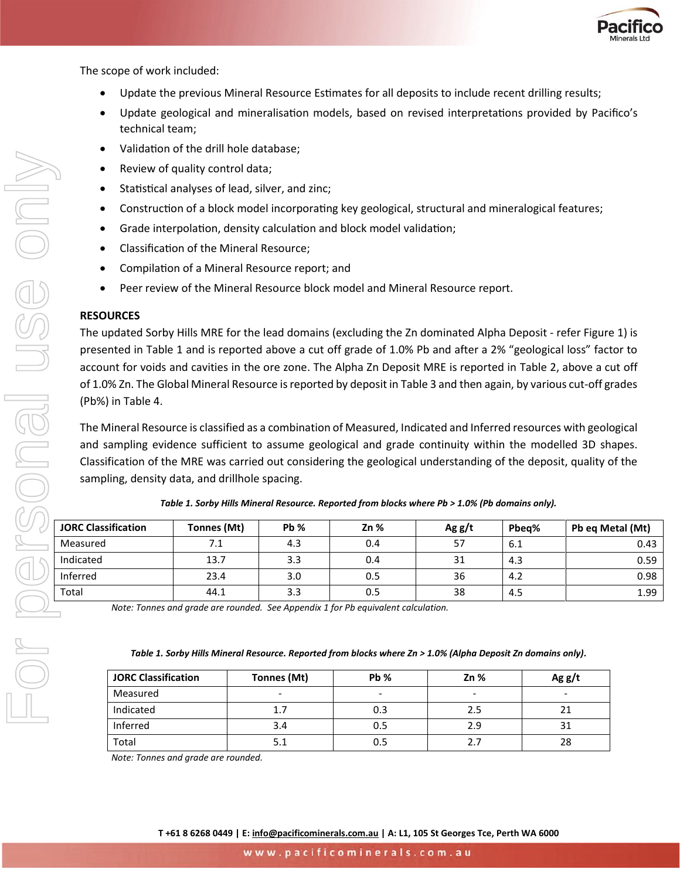

The scope of work included:

- Update the previous Mineral Resource Estimates for all deposits to include recent drilling results;
- Update geological and mineralisation models, based on revised interpretations provided by Pacifico's technical team;
- Validation of the drill hole database;
- Review of quality control data;
- Statistical analyses of lead, silver, and zinc;
- Construction of a block model incorporating key geological, structural and mineralogical features;
- Grade interpolation, density calculation and block model validation;
- Classification of the Mineral Resource;
- Compilation of a Mineral Resource report; and
- Peer review of the Mineral Resource block model and Mineral Resource report.

#### **RESOURCES**

The updated Sorby Hills MRE for the lead domains (excluding the Zn dominated Alpha Deposit - refer [Figure 1\)](#page-4-0) is presented in Table 1 and is reported above a cut off grade of 1.0% Pb and after a 2% "geological loss" factor to account for voids and cavities in the ore zone. The Alpha Zn Deposit MRE is reported in Table 2, above a cut off of 1.0% Zn. The Global Mineral Resource is reported by deposit in [Table 3](#page-2-0) and then again, by various cut-off grades (Pb%) in Table 4.

The Mineral Resource is classified as a combination of Measured, Indicated and Inferred resources with geological and sampling evidence sufficient to assume geological and grade continuity within the modelled 3D shapes. Classification of the MRE was carried out considering the geological understanding of the deposit, quality of the sampling, density data, and drillhole spacing.

| <b>JORC Classification</b> | Tonnes (Mt) | $Pb$ % | $Zn$ % | Agg/t | Pbea% | Pb eq Metal (Mt) |
|----------------------------|-------------|--------|--------|-------|-------|------------------|
| Measured                   | 7.1         | 4.3    | 0.4    | 57    | 6.1   | 0.43             |
| Indicated                  | 13.7        | 3.3    | 0.4    | 31    | 4.3   | 0.59             |
| Inferred                   | 23.4        | 3.0    | 0.5    | 36    | 4.2   | 0.98             |
| Total                      | 44.1        | 3.3    | 0.5    | 38    | 4.5   | 1.99             |

*Table 1. Sorby Hills Mineral Resource. Reported from blocks where Pb > 1.0% (Pb domains only).*

*Note: Tonnes and grade are rounded. See Appendix 1 for Pb equivalent calculation.*

#### *Table 1. Sorby Hills Mineral Resource. Reported from blocks where Zn > 1.0% (Alpha Deposit Zn domains only).*

| <b>JORC Classification</b> | Tonnes (Mt) | Pb % | 2n% | Agg/t |  |
|----------------------------|-------------|------|-----|-------|--|
| Measured                   | ٠           | -    | -   |       |  |
| Indicated                  |             | 0.3  | 2.5 |       |  |
| Inferred                   | 3.4         | 0.5  | 2.9 | 31    |  |
| Total                      |             | 0.5  |     | 28    |  |

*Note: Tonnes and grade are rounded.*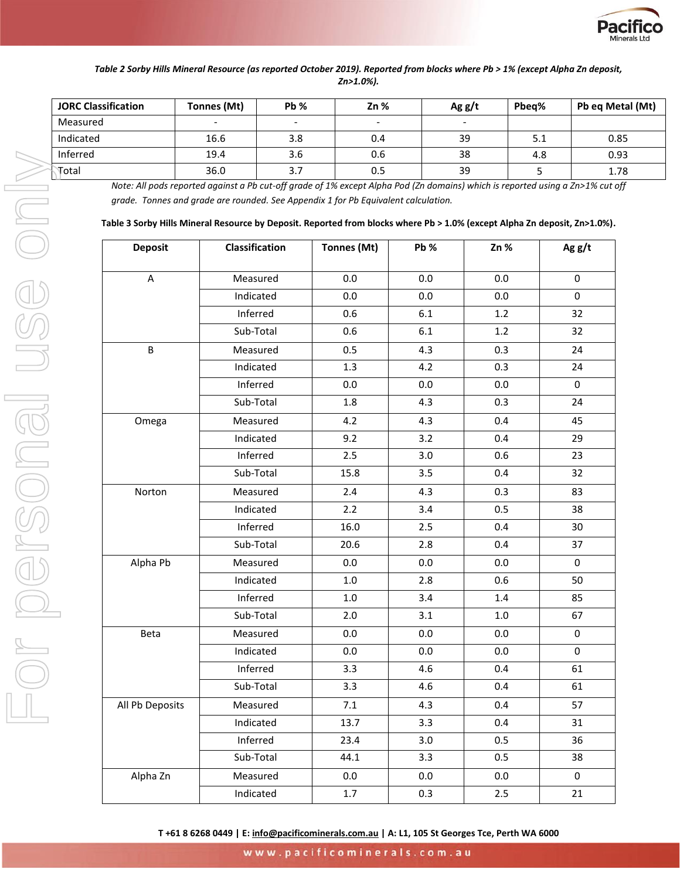

#### *Table 2 Sorby Hills Mineral Resource (as reported October 2019). Reported from blocks where Pb > 1% (except Alpha Zn deposit, Zn>1.0%).*

| <b>JORC Classification</b> | <b>Pb %</b><br>Tonnes (Mt) |     | $Zn$ % | Agg/t                    | Pbea% | Pb eq Metal (Mt) |
|----------------------------|----------------------------|-----|--------|--------------------------|-------|------------------|
| Measured                   | $\overline{\phantom{0}}$   |     |        | $\overline{\phantom{0}}$ |       |                  |
| Indicated                  | 16.6                       | 3.8 | 0.4    | 39                       | 5.1   | 0.85             |
| Inferred                   | 19.4                       | 3.6 | 0.6    | 38                       | 4.8   | 0.93             |
| Total                      | 36.0                       | 3.7 | 0.5    | 39                       |       | 1.78             |

*Note: All pods reported against a Pb cut-off grade of 1% except Alpha Pod (Zn domains) which is reported using a Zn>1% cut off grade. Tonnes and grade are rounded. See Appendix 1 for Pb Equivalent calculation.*

<span id="page-2-0"></span>

|  | Table 3 Sorby Hills Mineral Resource by Deposit. Reported from blocks where Pb > 1.0% (except Alpha Zn deposit, Zn>1.0%). |  |
|--|---------------------------------------------------------------------------------------------------------------------------|--|
|--|---------------------------------------------------------------------------------------------------------------------------|--|

| <b>Deposit</b>  | Classification | Tonnes (Mt) | Pb %    | Zn %    | Ag $g/t$            |
|-----------------|----------------|-------------|---------|---------|---------------------|
| A               | Measured       | 0.0         | 0.0     | 0.0     | 0                   |
|                 | Indicated      | 0.0         | 0.0     | 0.0     | $\mathbf 0$         |
|                 | Inferred       | 0.6         | 6.1     | 1.2     | 32                  |
|                 | Sub-Total      | 0.6         | 6.1     | 1.2     | 32                  |
| B               | Measured       | 0.5         | 4.3     | 0.3     | 24                  |
|                 | Indicated      | 1.3         | 4.2     | 0.3     | 24                  |
|                 | Inferred       | 0.0         | 0.0     | 0.0     | $\Omega$            |
|                 | Sub-Total      | $1.8\,$     | 4.3     | 0.3     | 24                  |
| Omega           | Measured       | 4.2         | 4.3     | 0.4     | 45                  |
|                 | Indicated      | 9.2         | 3.2     | 0.4     | 29                  |
|                 | Inferred       | 2.5         | 3.0     | 0.6     | 23                  |
|                 | Sub-Total      | 15.8        | 3.5     | 0.4     | 32                  |
| Norton          | Measured       | 2.4         | 4.3     | 0.3     | 83                  |
|                 | Indicated      | 2.2         | 3.4     | 0.5     | 38                  |
|                 | Inferred       | 16.0        | 2.5     | 0.4     | 30                  |
|                 | Sub-Total      | 20.6        | 2.8     | 0.4     | 37                  |
| Alpha Pb        | Measured       | 0.0         | 0.0     | 0.0     | $\mathbf 0$         |
|                 | Indicated      | $1.0\,$     | 2.8     | 0.6     | 50                  |
|                 | Inferred       | $1.0\,$     | 3.4     | 1.4     | 85                  |
|                 | Sub-Total      | 2.0         | 3.1     | $1.0\,$ | 67                  |
| Beta            | Measured       | 0.0         | 0.0     | 0.0     | 0                   |
|                 | Indicated      | 0.0         | 0.0     | 0.0     | 0                   |
|                 | Inferred       | 3.3         | 4.6     | 0.4     | 61                  |
|                 | Sub-Total      | 3.3         | 4.6     | 0.4     | 61                  |
| All Pb Deposits | Measured       | 7.1         | 4.3     | 0.4     | 57                  |
|                 | Indicated      | 13.7        | 3.3     | 0.4     | 31                  |
|                 | Inferred       | 23.4        | 3.0     | 0.5     | 36                  |
|                 | Sub-Total      | 44.1        | 3.3     | 0.5     | 38                  |
| Alpha Zn        | Measured       | 0.0         | $0.0\,$ | $0.0\,$ | $\mathsf{O}\xspace$ |
|                 | Indicated      | 1.7         | 0.3     | 2.5     | 21                  |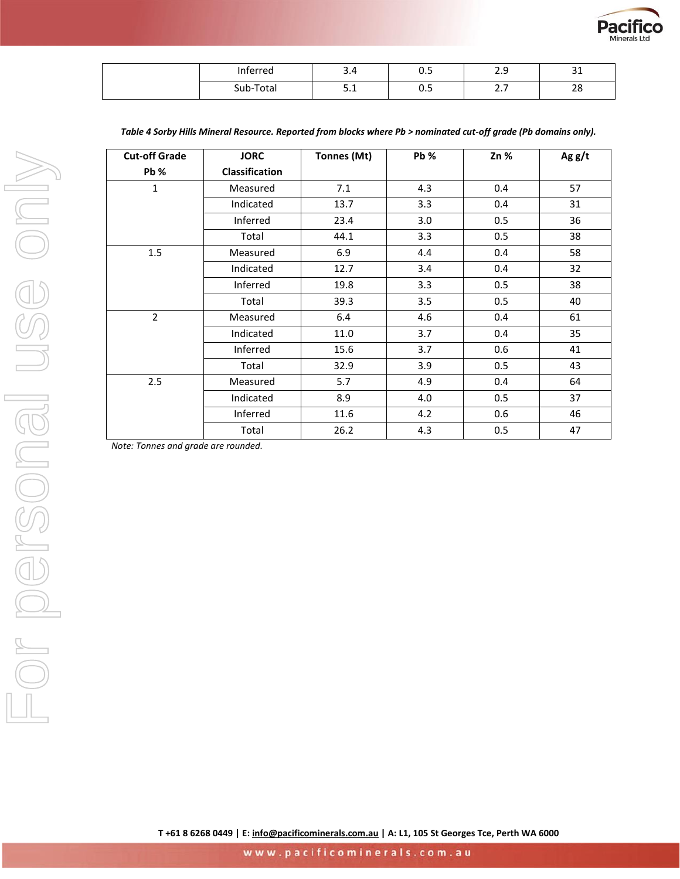

| Inferred  | ∽<br>$\sqrt{ }$<br>J.4 | -<br><b>v.J</b> | റ റ<br>ر.ء              | $\sim$<br>ᇰᆂ |
|-----------|------------------------|-----------------|-------------------------|--------------|
| Sub-Total | <b>C</b> 4<br><u></u>  | <b>v.J</b>      | $\sim$ $\sim$<br>$\sim$ | າດ<br>40     |

| <b>Cut-off Grade</b> | <b>JORC</b>    | Tonnes (Mt) | $Pb$ % | $Zn$ % | Ag g/t |  |
|----------------------|----------------|-------------|--------|--------|--------|--|
| Pb %                 | Classification |             |        |        |        |  |
| $\mathbf{1}$         | Measured       | 7.1         | 4.3    | 0.4    | 57     |  |
|                      | Indicated      | 13.7        | 3.3    | 0.4    | 31     |  |
|                      | Inferred       | 23.4        | 3.0    | 0.5    | 36     |  |
|                      | Total          | 44.1        | 3.3    | 0.5    | 38     |  |
| 1.5                  | Measured       | 6.9         | 4.4    | 0.4    | 58     |  |
|                      | Indicated      | 12.7        | 3.4    | 0.4    | 32     |  |
|                      | Inferred       | 19.8        | 3.3    | 0.5    | 38     |  |
|                      | Total          | 39.3        | 3.5    | 0.5    | 40     |  |
| $\overline{2}$       | Measured       | 6.4         | 4.6    | 0.4    | 61     |  |
|                      | Indicated      | 11.0        | 3.7    | 0.4    | 35     |  |
|                      | Inferred       | 15.6        | 3.7    | 0.6    | 41     |  |
|                      | Total          | 32.9        | 3.9    | 0.5    | 43     |  |
| 2.5                  | Measured       | 5.7         | 4.9    | 0.4    | 64     |  |
|                      | Indicated      | 8.9         | 4.0    | 0.5    | 37     |  |
|                      | Inferred       | 11.6        | 4.2    | 0.6    | 46     |  |
|                      | Total          | 26.2        | 4.3    | 0.5    | 47     |  |

*Table 4 Sorby Hills Mineral Resource. Reported from blocks where Pb > nominated cut-off grade (Pb domains only).*

*Note: Tonnes and grade are rounded.*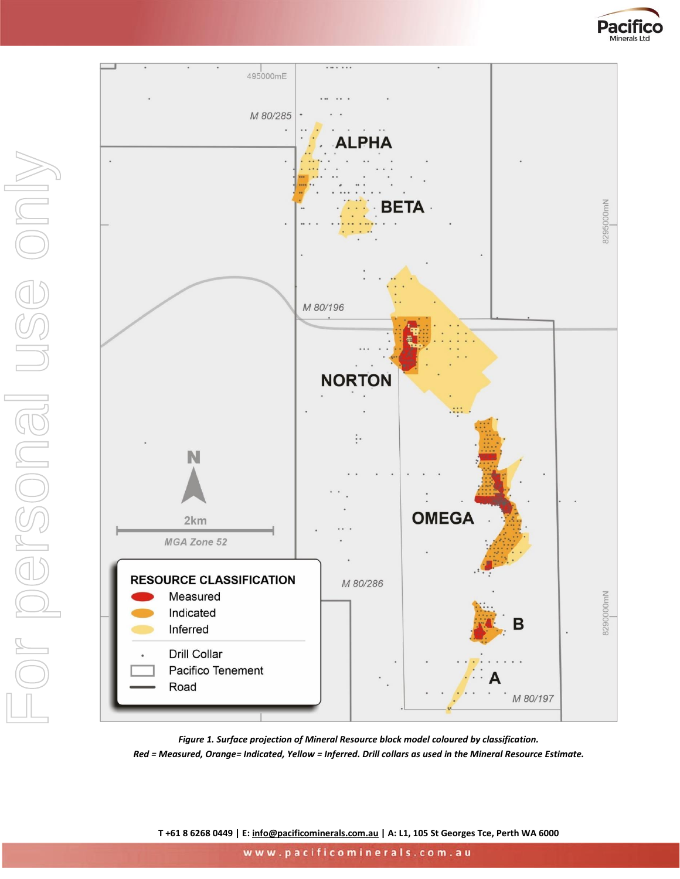



<span id="page-4-0"></span>*Figure 1. Surface projection of Mineral Resource block model coloured by classification. Red = Measured, Orange= Indicated, Yellow = Inferred. Drill collars as used in the Mineral Resource Estimate.*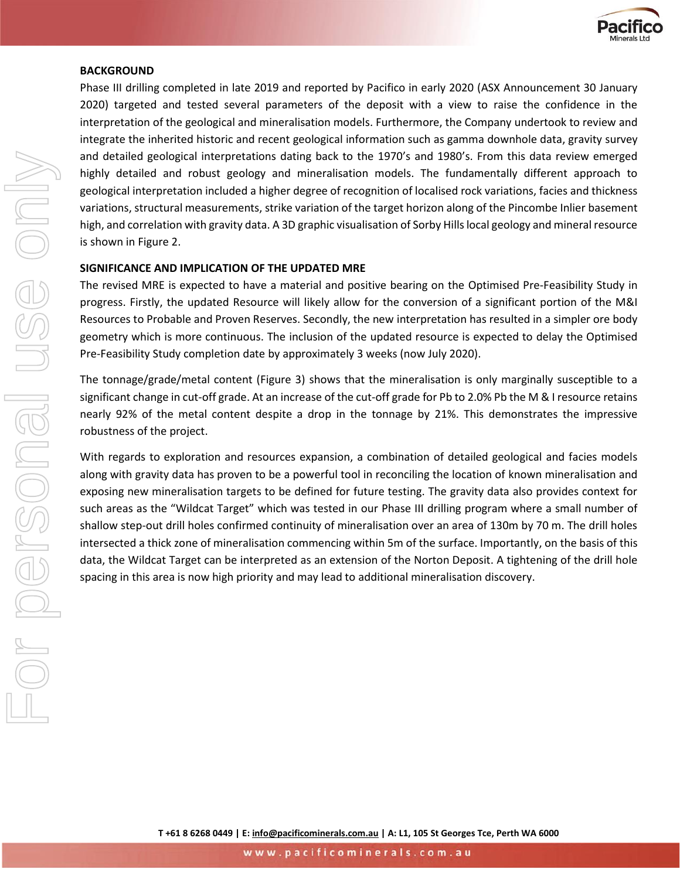

#### **BACKGROUND**

Phase III drilling completed in late 2019 and reported by Pacifico in early 2020 (ASX Announcement 30 January 2020) targeted and tested several parameters of the deposit with a view to raise the confidence in the interpretation of the geological and mineralisation models. Furthermore, the Company undertook to review and integrate the inherited historic and recent geological information such as gamma downhole data, gravity survey and detailed geological interpretations dating back to the 1970's and 1980's. From this data review emerged highly detailed and robust geology and mineralisation models. The fundamentally different approach to geological interpretation included a higher degree of recognition of localised rock variations, facies and thickness variations, structural measurements, strike variation of the target horizon along of the Pincombe Inlier basement high, and correlation with gravity data. A 3D graphic visualisation of Sorby Hills local geology and mineral resource is shown in Figure 2.

### **SIGNIFICANCE AND IMPLICATION OF THE UPDATED MRE**

The revised MRE is expected to have a material and positive bearing on the Optimised Pre-Feasibility Study in progress. Firstly, the updated Resource will likely allow for the conversion of a significant portion of the M&I Resources to Probable and Proven Reserves. Secondly, the new interpretation has resulted in a simpler ore body geometry which is more continuous. The inclusion of the updated resource is expected to delay the Optimised Pre-Feasibility Study completion date by approximately 3 weeks (now July 2020).

The tonnage/grade/metal content (Figure 3) shows that the mineralisation is only marginally susceptible to a significant change in cut-off grade. At an increase of the cut-off grade for Pb to 2.0% Pb the M & I resource retains nearly 92% of the metal content despite a drop in the tonnage by 21%. This demonstrates the impressive robustness of the project.

With regards to exploration and resources expansion, a combination of detailed geological and facies models along with gravity data has proven to be a powerful tool in reconciling the location of known mineralisation and exposing new mineralisation targets to be defined for future testing. The gravity data also provides context for such areas as the "Wildcat Target" which was tested in our Phase III drilling program where a small number of shallow step-out drill holes confirmed continuity of mineralisation over an area of 130m by 70 m. The drill holes intersected a thick zone of mineralisation commencing within 5m of the surface. Importantly, on the basis of this data, the Wildcat Target can be interpreted as an extension of the Norton Deposit. A tightening of the drill hole spacing in this area is now high priority and may lead to additional mineralisation discovery.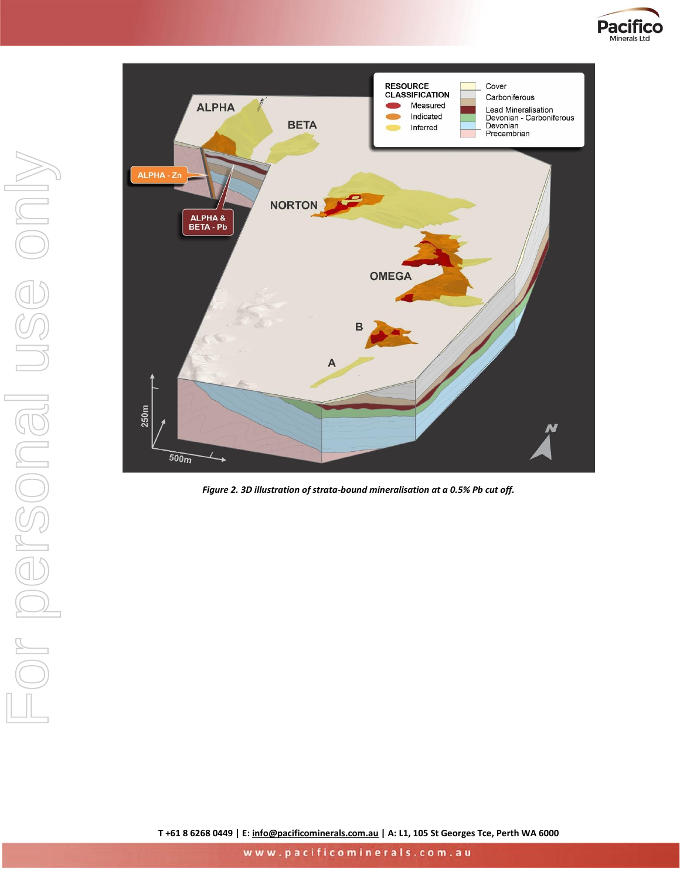



*Figure 2. 3D illustration of strata-bound mineralisation at a 0.5% Pb cut off.*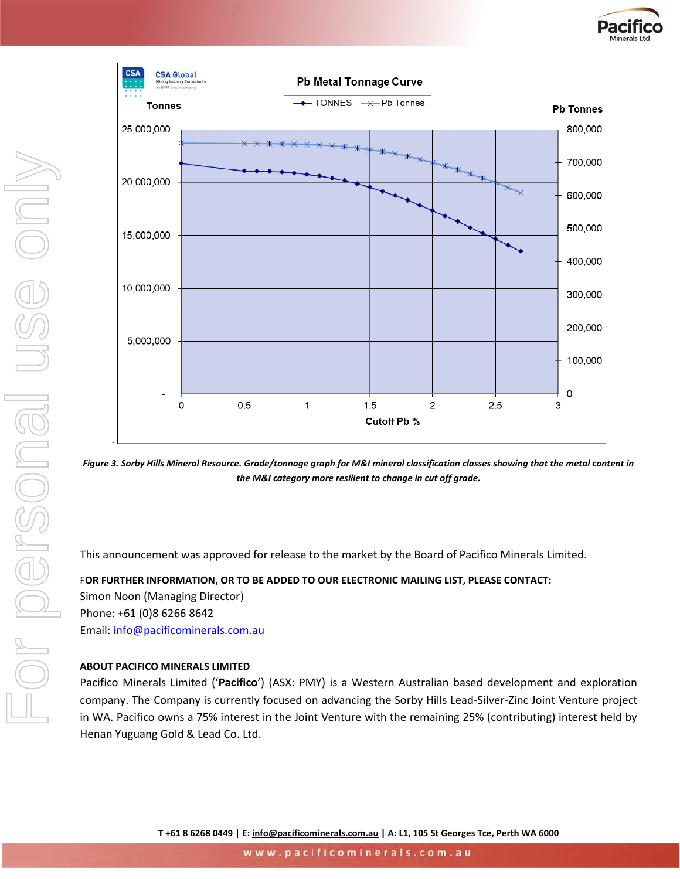



*Figure 3. Sorby Hills Mineral Resource. Grade/tonnage graph for M&I mineral classification classes showing that the metal content in the M&I category more resilient to change in cut off grade.* 

This announcement was approved for release to the market by the Board of Pacifico Minerals Limited.

F**OR FURTHER INFORMATION, OR TO BE ADDED TO OUR ELECTRONIC MAILING LIST, PLEASE CONTACT:** Simon Noon (Managing Director) Phone: +61 (0)8 6266 8642 Email: [info@pacificominerals.com.au](mailto:info@pacificominerals.com.au)

#### **ABOUT PACIFICO MINERALS LIMITED**

Pacifico Minerals Limited ('**Pacifico**') (ASX: PMY) is a Western Australian based development and exploration company. The Company is currently focused on advancing the Sorby Hills Lead-Silver-Zinc Joint Venture project in WA. Pacifico owns a 75% interest in the Joint Venture with the remaining 25% (contributing) interest held by Henan Yuguang Gold & Lead Co. Ltd.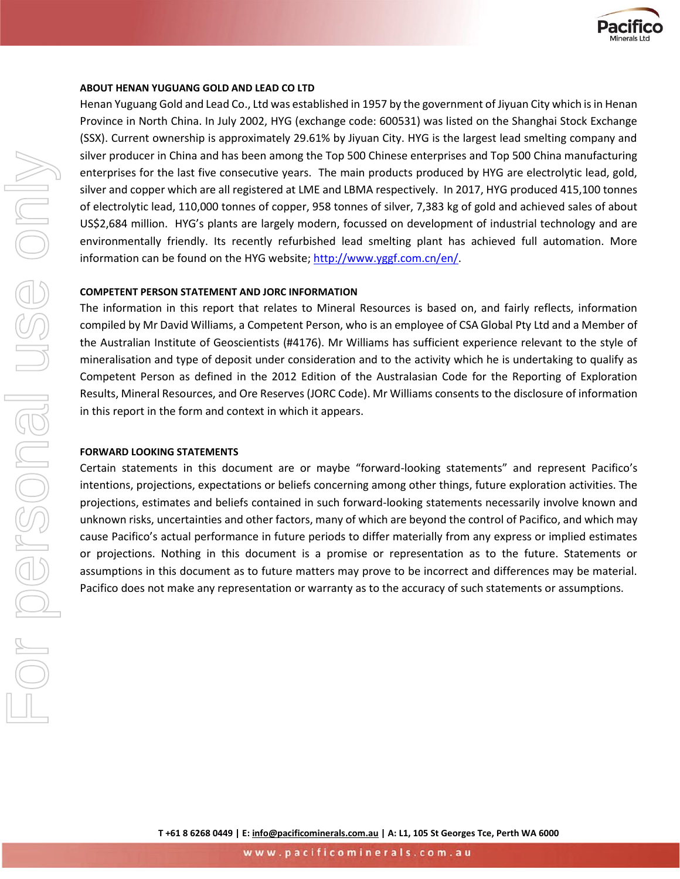

#### **ABOUT HENAN YUGUANG GOLD AND LEAD CO LTD**

Henan Yuguang Gold and Lead Co., Ltd was established in 1957 by the government of Jiyuan City which is in Henan Province in North China. In July 2002, HYG (exchange code: 600531) was listed on the Shanghai Stock Exchange (SSX). Current ownership is approximately 29.61% by Jiyuan City. HYG is the largest lead smelting company and silver producer in China and has been among the Top 500 Chinese enterprises and Top 500 China manufacturing enterprises for the last five consecutive years. The main products produced by HYG are electrolytic lead, gold, silver and copper which are all registered at LME and LBMA respectively. In 2017, HYG produced 415,100 tonnes of electrolytic lead, 110,000 tonnes of copper, 958 tonnes of silver, 7,383 kg of gold and achieved sales of about US\$2,684 million. HYG's plants are largely modern, focussed on development of industrial technology and are environmentally friendly. Its recently refurbished lead smelting plant has achieved full automation. More information can be found on the HYG website; http://www.yggf.com.cn/en/.

#### **COMPETENT PERSON STATEMENT AND JORC INFORMATION**

The information in this report that relates to Mineral Resources is based on, and fairly reflects, information compiled by Mr David Williams, a Competent Person, who is an employee of CSA Global Pty Ltd and a Member of the Australian Institute of Geoscientists (#4176). Mr Williams has sufficient experience relevant to the style of mineralisation and type of deposit under consideration and to the activity which he is undertaking to qualify as Competent Person as defined in the 2012 Edition of the Australasian Code for the Reporting of Exploration Results, Mineral Resources, and Ore Reserves (JORC Code). Mr Williams consents to the disclosure of information in this report in the form and context in which it appears.

#### **FORWARD LOOKING STATEMENTS**

Certain statements in this document are or maybe "forward-looking statements" and represent Pacifico's intentions, projections, expectations or beliefs concerning among other things, future exploration activities. The projections, estimates and beliefs contained in such forward-looking statements necessarily involve known and unknown risks, uncertainties and other factors, many of which are beyond the control of Pacifico, and which may cause Pacifico's actual performance in future periods to differ materially from any express or implied estimates or projections. Nothing in this document is a promise or representation as to the future. Statements or assumptions in this document as to future matters may prove to be incorrect and differences may be material. Pacifico does not make any representation or warranty as to the accuracy of such statements or assumptions.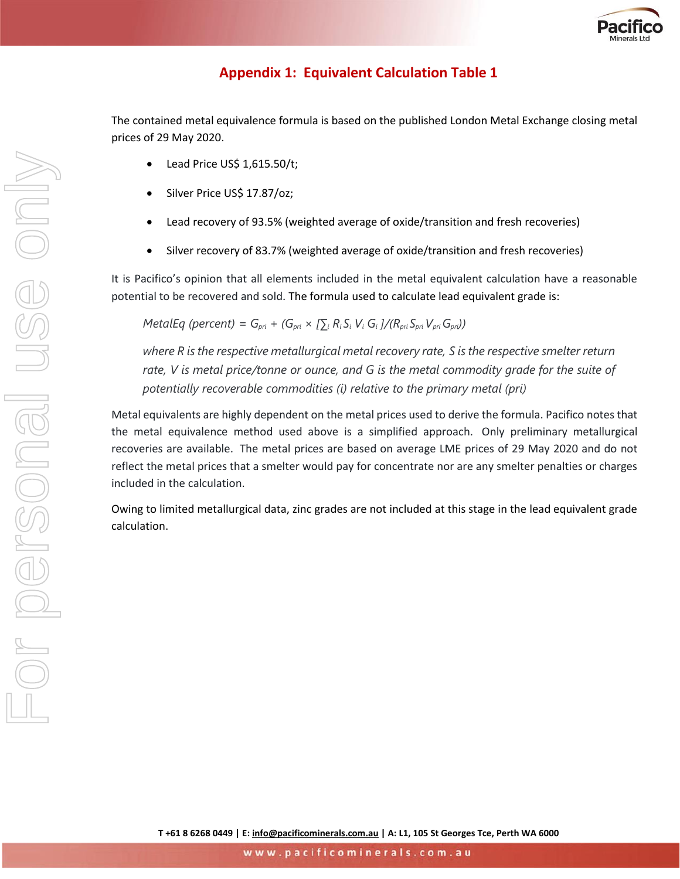

# **Appendix 1: Equivalent Calculation Table 1**

The contained metal equivalence formula is based on the published London Metal Exchange closing metal prices of 29 May 2020.

- Lead Price US\$ 1,615.50/t;
- Silver Price US\$ 17.87/oz;
- Lead recovery of 93.5% (weighted average of oxide/transition and fresh recoveries)
- Silver recovery of 83.7% (weighted average of oxide/transition and fresh recoveries)

It is Pacifico's opinion that all elements included in the metal equivalent calculation have a reasonable potential to be recovered and sold. The formula used to calculate lead equivalent grade is:

MetalEq (percent) =  $G_{pri}$  +  $(G_{pri} \times [\sum_i R_i S_i V_i G_i]/(R_{pri} S_{pri} V_{pri} G_{pri}))$ 

*where R is the respective metallurgical metal recovery rate, S is the respective smelter return rate, V is metal price/tonne or ounce, and G is the metal commodity grade for the suite of potentially recoverable commodities (i) relative to the primary metal (pri)*

Metal equivalents are highly dependent on the metal prices used to derive the formula. Pacifico notes that the metal equivalence method used above is a simplified approach. Only preliminary metallurgical recoveries are available. The metal prices are based on average LME prices of 29 May 2020 and do not reflect the metal prices that a smelter would pay for concentrate nor are any smelter penalties or charges included in the calculation.

Owing to limited metallurgical data, zinc grades are not included at this stage in the lead equivalent grade calculation.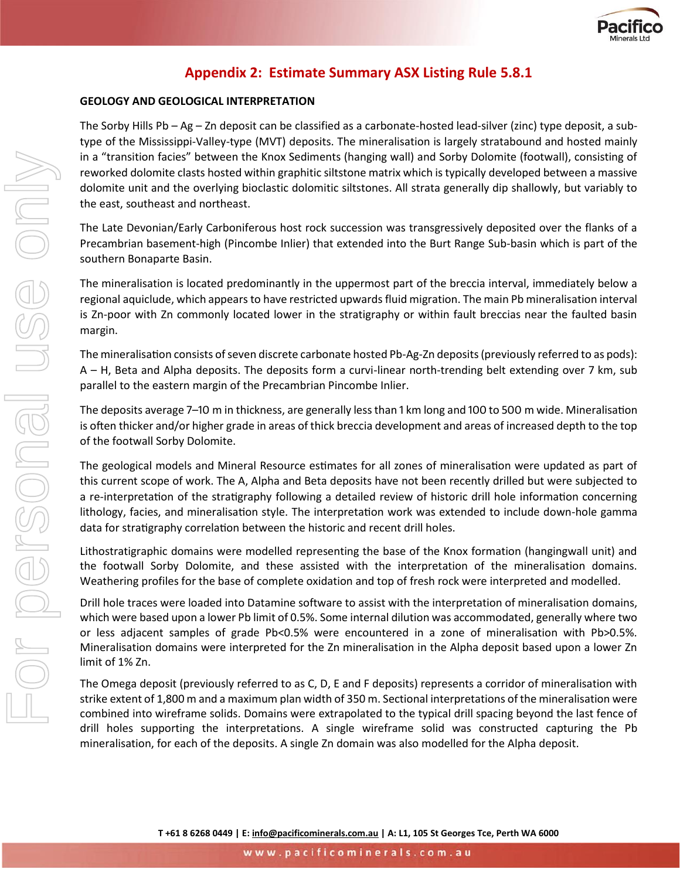

# **Appendix 2: Estimate Summary ASX Listing Rule 5.8.1**

#### **GEOLOGY AND GEOLOGICAL INTERPRETATION**

The Sorby Hills Pb – Ag – Zn deposit can be classified as a carbonate-hosted lead-silver (zinc) type deposit, a subtype of the Mississippi-Valley-type (MVT) deposits. The mineralisation is largely stratabound and hosted mainly in a "transition facies" between the Knox Sediments (hanging wall) and Sorby Dolomite (footwall), consisting of reworked dolomite clasts hosted within graphitic siltstone matrix which is typically developed between a massive dolomite unit and the overlying bioclastic dolomitic siltstones. All strata generally dip shallowly, but variably to the east, southeast and northeast.

The Late Devonian/Early Carboniferous host rock succession was transgressively deposited over the flanks of a Precambrian basement-high (Pincombe Inlier) that extended into the Burt Range Sub-basin which is part of the southern Bonaparte Basin.

The mineralisation is located predominantly in the uppermost part of the breccia interval, immediately below a regional aquiclude, which appears to have restricted upwards fluid migration. The main Pb mineralisation interval is Zn-poor with Zn commonly located lower in the stratigraphy or within fault breccias near the faulted basin margin.

The mineralisation consists of seven discrete carbonate hosted Pb-Ag-Zn deposits (previously referred to as pods): A – H, Beta and Alpha deposits. The deposits form a curvi-linear north-trending belt extending over 7 km, sub parallel to the eastern margin of the Precambrian Pincombe Inlier.

The deposits average 7–10 m in thickness, are generally less than 1 km long and 100 to 500 m wide. Mineralisation is often thicker and/or higher grade in areas of thick breccia development and areas of increased depth to the top of the footwall Sorby Dolomite.

The geological models and Mineral Resource estimates for all zones of mineralisation were updated as part of this current scope of work. The A, Alpha and Beta deposits have not been recently drilled but were subjected to a re-interpretation of the stratigraphy following a detailed review of historic drill hole information concerning lithology, facies, and mineralisation style. The interpretation work was extended to include down-hole gamma data for stratigraphy correlation between the historic and recent drill holes.

Lithostratigraphic domains were modelled representing the base of the Knox formation (hangingwall unit) and the footwall Sorby Dolomite, and these assisted with the interpretation of the mineralisation domains. Weathering profiles for the base of complete oxidation and top of fresh rock were interpreted and modelled.

Drill hole traces were loaded into Datamine software to assist with the interpretation of mineralisation domains, which were based upon a lower Pb limit of 0.5%. Some internal dilution was accommodated, generally where two or less adjacent samples of grade Pb<0.5% were encountered in a zone of mineralisation with Pb>0.5%. Mineralisation domains were interpreted for the Zn mineralisation in the Alpha deposit based upon a lower Zn limit of 1% Zn.

The Omega deposit (previously referred to as C, D, E and F deposits) represents a corridor of mineralisation with strike extent of 1,800 m and a maximum plan width of 350 m. Sectional interpretations of the mineralisation were combined into wireframe solids. Domains were extrapolated to the typical drill spacing beyond the last fence of drill holes supporting the interpretations. A single wireframe solid was constructed capturing the Pb mineralisation, for each of the deposits. A single Zn domain was also modelled for the Alpha deposit.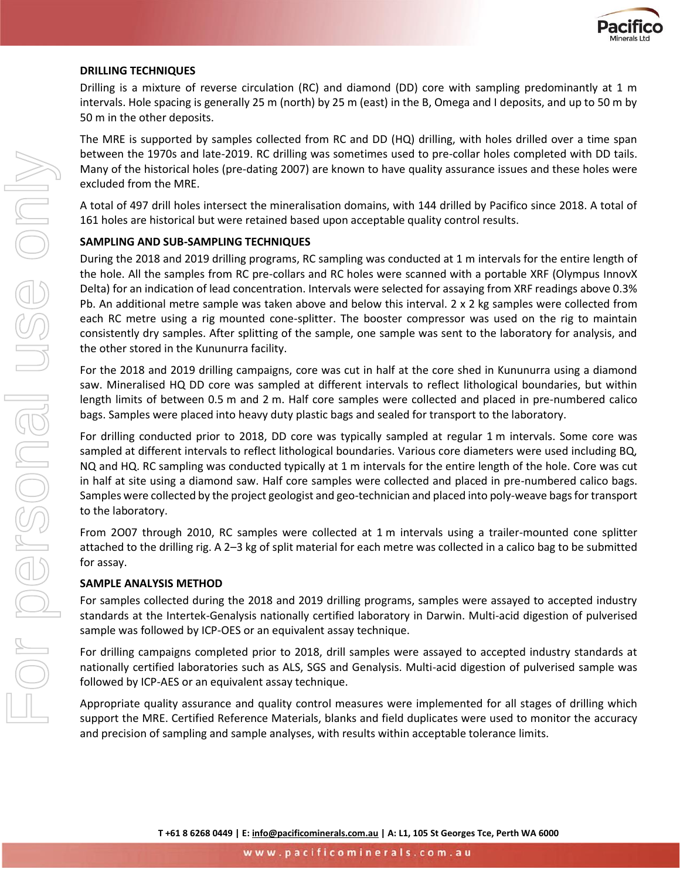

#### **DRILLING TECHNIQUES**

Drilling is a mixture of reverse circulation (RC) and diamond (DD) core with sampling predominantly at 1 m intervals. Hole spacing is generally 25 m (north) by 25 m (east) in the B, Omega and I deposits, and up to 50 m by 50 m in the other deposits.

The MRE is supported by samples collected from RC and DD (HQ) drilling, with holes drilled over a time span between the 1970s and late-2019. RC drilling was sometimes used to pre-collar holes completed with DD tails. Many of the historical holes (pre-dating 2007) are known to have quality assurance issues and these holes were excluded from the MRE.

A total of 497 drill holes intersect the mineralisation domains, with 144 drilled by Pacifico since 2018. A total of 161 holes are historical but were retained based upon acceptable quality control results.

#### **SAMPLING AND SUB-SAMPLING TECHNIQUES**

During the 2018 and 2019 drilling programs, RC sampling was conducted at 1 m intervals for the entire length of the hole. All the samples from RC pre-collars and RC holes were scanned with a portable XRF (Olympus InnovX Delta) for an indication of lead concentration. Intervals were selected for assaying from XRF readings above 0.3% Pb. An additional metre sample was taken above and below this interval. 2 x 2 kg samples were collected from each RC metre using a rig mounted cone-splitter. The booster compressor was used on the rig to maintain consistently dry samples. After splitting of the sample, one sample was sent to the laboratory for analysis, and the other stored in the Kununurra facility.

For the 2018 and 2019 drilling campaigns, core was cut in half at the core shed in Kununurra using a diamond saw. Mineralised HQ DD core was sampled at different intervals to reflect lithological boundaries, but within length limits of between 0.5 m and 2 m. Half core samples were collected and placed in pre-numbered calico bags. Samples were placed into heavy duty plastic bags and sealed for transport to the laboratory.

For drilling conducted prior to 2018, DD core was typically sampled at regular 1 m intervals. Some core was sampled at different intervals to reflect lithological boundaries. Various core diameters were used including BQ, NQ and HQ. RC sampling was conducted typically at 1 m intervals for the entire length of the hole. Core was cut in half at site using a diamond saw. Half core samples were collected and placed in pre-numbered calico bags. Samples were collected by the project geologist and geo-technician and placed into poly-weave bags for transport to the laboratory.

From 2O07 through 2010, RC samples were collected at 1 m intervals using a trailer-mounted cone splitter attached to the drilling rig. A 2–3 kg of split material for each metre was collected in a calico bag to be submitted for assay.

#### **SAMPLE ANALYSIS METHOD**

For samples collected during the 2018 and 2019 drilling programs, samples were assayed to accepted industry standards at the Intertek-Genalysis nationally certified laboratory in Darwin. Multi-acid digestion of pulverised sample was followed by ICP-OES or an equivalent assay technique.

For drilling campaigns completed prior to 2018, drill samples were assayed to accepted industry standards at nationally certified laboratories such as ALS, SGS and Genalysis. Multi-acid digestion of pulverised sample was followed by ICP-AES or an equivalent assay technique.

Appropriate quality assurance and quality control measures were implemented for all stages of drilling which support the MRE. Certified Reference Materials, blanks and field duplicates were used to monitor the accuracy and precision of sampling and sample analyses, with results within acceptable tolerance limits.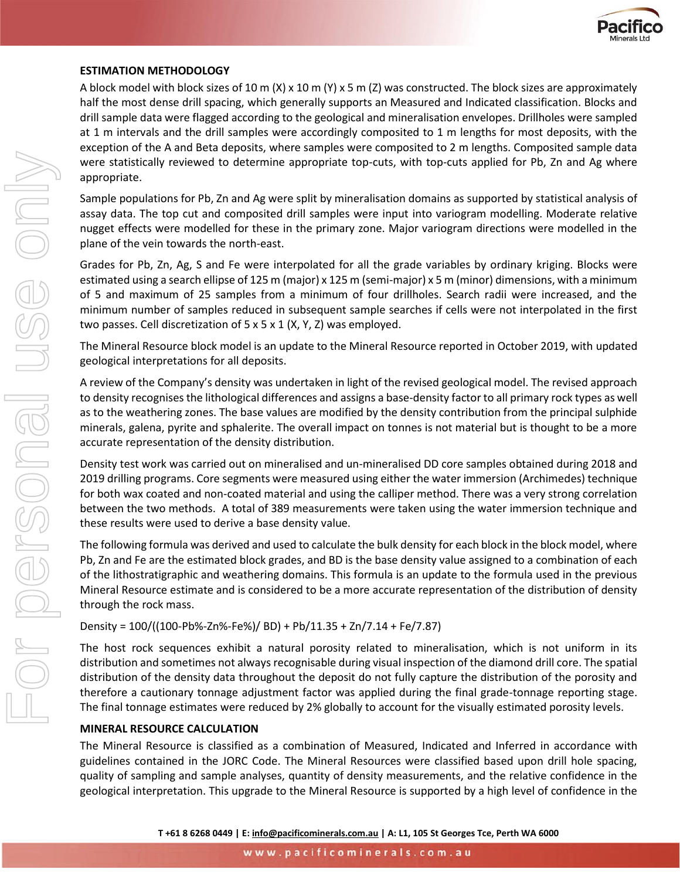

#### **ESTIMATION METHODOLOGY**

A block model with block sizes of 10 m (X) x 10 m (Y) x 5 m (Z) was constructed. The block sizes are approximately half the most dense drill spacing, which generally supports an Measured and Indicated classification. Blocks and drill sample data were flagged according to the geological and mineralisation envelopes. Drillholes were sampled at 1 m intervals and the drill samples were accordingly composited to 1 m lengths for most deposits, with the exception of the A and Beta deposits, where samples were composited to 2 m lengths. Composited sample data were statistically reviewed to determine appropriate top-cuts, with top-cuts applied for Pb, Zn and Ag where appropriate.

Sample populations for Pb, Zn and Ag were split by mineralisation domains as supported by statistical analysis of assay data. The top cut and composited drill samples were input into variogram modelling. Moderate relative nugget effects were modelled for these in the primary zone. Major variogram directions were modelled in the plane of the vein towards the north-east.

Grades for Pb, Zn, Ag, S and Fe were interpolated for all the grade variables by ordinary kriging. Blocks were estimated using a search ellipse of 125 m (major) x 125 m (semi-major) x 5 m (minor) dimensions, with a minimum of 5 and maximum of 25 samples from a minimum of four drillholes. Search radii were increased, and the minimum number of samples reduced in subsequent sample searches if cells were not interpolated in the first two passes. Cell discretization of 5 x 5 x 1 (X, Y, Z) was employed.

The Mineral Resource block model is an update to the Mineral Resource reported in October 2019, with updated geological interpretations for all deposits.

A review of the Company's density was undertaken in light of the revised geological model. The revised approach to density recognises the lithological differences and assigns a base-density factor to all primary rock types as well as to the weathering zones. The base values are modified by the density contribution from the principal sulphide minerals, galena, pyrite and sphalerite. The overall impact on tonnes is not material but is thought to be a more accurate representation of the density distribution.

Density test work was carried out on mineralised and un-mineralised DD core samples obtained during 2018 and 2019 drilling programs. Core segments were measured using either the water immersion (Archimedes) technique for both wax coated and non-coated material and using the calliper method. There was a very strong correlation between the two methods. A total of 389 measurements were taken using the water immersion technique and these results were used to derive a base density value.

The following formula was derived and used to calculate the bulk density for each block in the block model, where Pb, Zn and Fe are the estimated block grades, and BD is the base density value assigned to a combination of each of the lithostratigraphic and weathering domains. This formula is an update to the formula used in the previous Mineral Resource estimate and is considered to be a more accurate representation of the distribution of density through the rock mass.

Density = 100/((100-Pb%-Zn%-Fe%)/ BD) + Pb/11.35 + Zn/7.14 + Fe/7.87)

The host rock sequences exhibit a natural porosity related to mineralisation, which is not uniform in its distribution and sometimes not always recognisable during visual inspection of the diamond drill core. The spatial distribution of the density data throughout the deposit do not fully capture the distribution of the porosity and therefore a cautionary tonnage adjustment factor was applied during the final grade-tonnage reporting stage. The final tonnage estimates were reduced by 2% globally to account for the visually estimated porosity levels.

#### **MINERAL RESOURCE CALCULATION**

The Mineral Resource is classified as a combination of Measured, Indicated and Inferred in accordance with guidelines contained in the JORC Code. The Mineral Resources were classified based upon drill hole spacing, quality of sampling and sample analyses, quantity of density measurements, and the relative confidence in the geological interpretation. This upgrade to the Mineral Resource is supported by a high level of confidence in the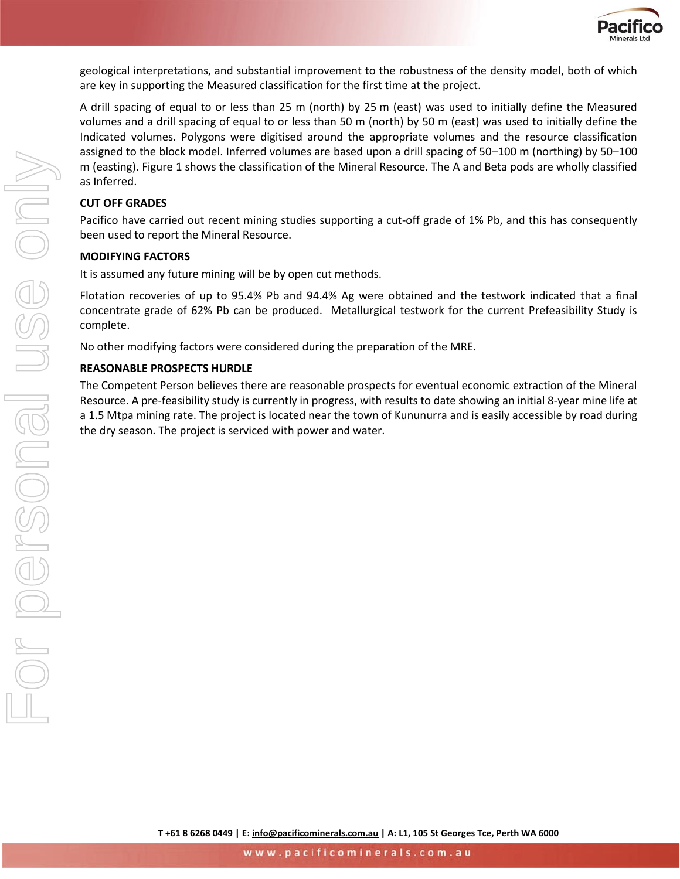

geological interpretations, and substantial improvement to the robustness of the density model, both of which are key in supporting the Measured classification for the first time at the project.

A drill spacing of equal to or less than 25 m (north) by 25 m (east) was used to initially define the Measured volumes and a drill spacing of equal to or less than 50 m (north) by 50 m (east) was used to initially define the Indicated volumes. Polygons were digitised around the appropriate volumes and the resource classification assigned to the block model. Inferred volumes are based upon a drill spacing of 50–100 m (northing) by 50–100 m (easting). [Figure 1](#page-4-0) shows the classification of the Mineral Resource. The A and Beta pods are wholly classified as Inferred.

#### **CUT OFF GRADES**

Pacifico have carried out recent mining studies supporting a cut-off grade of 1% Pb, and this has consequently been used to report the Mineral Resource.

#### **MODIFYING FACTORS**

It is assumed any future mining will be by open cut methods.

Flotation recoveries of up to 95.4% Pb and 94.4% Ag were obtained and the testwork indicated that a final concentrate grade of 62% Pb can be produced. Metallurgical testwork for the current Prefeasibility Study is complete.

No other modifying factors were considered during the preparation of the MRE.

#### **REASONABLE PROSPECTS HURDLE**

The Competent Person believes there are reasonable prospects for eventual economic extraction of the Mineral Resource. A pre-feasibility study is currently in progress, with results to date showing an initial 8-year mine life at a 1.5 Mtpa mining rate. The project is located near the town of Kununurra and is easily accessible by road during the dry season. The project is serviced with power and water.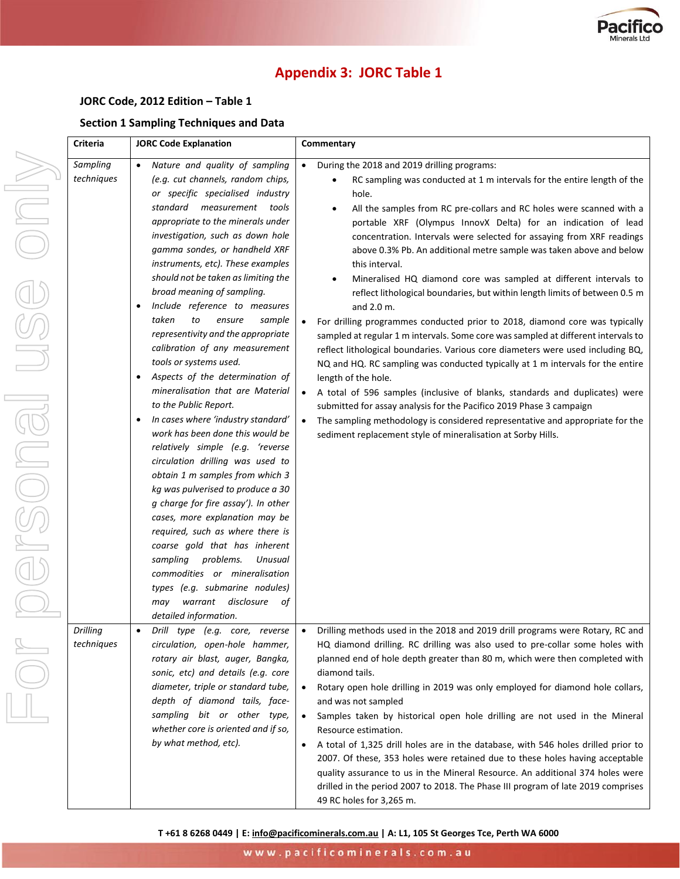

# **Appendix 3: JORC Table 1**

#### **JORC Code, 2012 Edition – Table 1**

#### **Section 1 Sampling Techniques and Data**

|                                                                                                                                                                                                                                                                                                                                                                                                                                                       | Criteria                      | <b>JORC Code Explanation</b>                                                                                                                                                                                                                                                                                                                                                                                                                                                                                                                                                                                                                                                                                                                                                                                                                                                                                                                                                                                                                                                                                                                                                                         | Commentary                                                                                                                                                                                                                                                                                                                                                                                                                                                                                                                                                                                                                                                                                                                                                                                                                                                                                                                                                                                                                                                                                                                                                                                                                                                                                                                                          |
|-------------------------------------------------------------------------------------------------------------------------------------------------------------------------------------------------------------------------------------------------------------------------------------------------------------------------------------------------------------------------------------------------------------------------------------------------------|-------------------------------|------------------------------------------------------------------------------------------------------------------------------------------------------------------------------------------------------------------------------------------------------------------------------------------------------------------------------------------------------------------------------------------------------------------------------------------------------------------------------------------------------------------------------------------------------------------------------------------------------------------------------------------------------------------------------------------------------------------------------------------------------------------------------------------------------------------------------------------------------------------------------------------------------------------------------------------------------------------------------------------------------------------------------------------------------------------------------------------------------------------------------------------------------------------------------------------------------|-----------------------------------------------------------------------------------------------------------------------------------------------------------------------------------------------------------------------------------------------------------------------------------------------------------------------------------------------------------------------------------------------------------------------------------------------------------------------------------------------------------------------------------------------------------------------------------------------------------------------------------------------------------------------------------------------------------------------------------------------------------------------------------------------------------------------------------------------------------------------------------------------------------------------------------------------------------------------------------------------------------------------------------------------------------------------------------------------------------------------------------------------------------------------------------------------------------------------------------------------------------------------------------------------------------------------------------------------------|
| $\overline{\phantom{0}}$<br>$\frac{1}{\sqrt{2}}\left[\bigcup_{i=1}^{n} \left(\bigcap_{i=1}^{n} \left(\bigcap_{i=1}^{n} \left(\bigcap_{i=1}^{n} \left(\bigcap_{i=1}^{n} \left(\bigcup_{i=1}^{n} \left(\bigcap_{i=1}^{n} \left(\bigcup_{i=1}^{n} \left(\bigcup_{i=1}^{n} \left(\bigcup_{i=1}^{n} \left(\bigcup_{i=1}^{n} \left(\bigcup_{i=1}^{n} \left(\bigcup_{i=1}^{n} \left(\bigcup_{i=1}^{n} \left(\bigcup_{i=1}^{n} \left(\bigcup_{i=1}^{n} \left$ | Sampling<br>techniques        | Nature and quality of sampling<br>(e.g. cut channels, random chips,<br>or specific specialised industry<br>standard measurement tools<br>appropriate to the minerals under<br>investigation, such as down hole<br>gamma sondes, or handheld XRF<br>instruments, etc). These examples<br>should not be taken as limiting the<br>broad meaning of sampling.<br>Include reference to measures<br>$\bullet$<br>to<br>taken<br>ensure<br>sample<br>representivity and the appropriate<br>calibration of any measurement<br>tools or systems used.<br>Aspects of the determination of<br>$\bullet$<br>mineralisation that are Material<br>to the Public Report.<br>In cases where 'industry standard'<br>work has been done this would be<br>relatively simple (e.g. 'reverse<br>circulation drilling was used to<br>obtain 1 m samples from which 3<br>kg was pulverised to produce a 30<br>g charge for fire assay'). In other<br>cases, more explanation may be<br>required, such as where there is<br>coarse gold that has inherent<br>sampling problems.<br>Unusual<br>commodities or mineralisation<br>types (e.g. submarine nodules)<br>disclosure<br>warrant<br>may<br>οf<br>detailed information. | During the 2018 and 2019 drilling programs:<br>$\bullet$<br>RC sampling was conducted at 1 m intervals for the entire length of the<br>hole.<br>All the samples from RC pre-collars and RC holes were scanned with a<br>$\bullet$<br>portable XRF (Olympus InnovX Delta) for an indication of lead<br>concentration. Intervals were selected for assaying from XRF readings<br>above 0.3% Pb. An additional metre sample was taken above and below<br>this interval.<br>Mineralised HQ diamond core was sampled at different intervals to<br>$\bullet$<br>reflect lithological boundaries, but within length limits of between 0.5 m<br>and 2.0 m.<br>For drilling programmes conducted prior to 2018, diamond core was typically<br>sampled at regular 1 m intervals. Some core was sampled at different intervals to<br>reflect lithological boundaries. Various core diameters were used including BQ,<br>NQ and HQ. RC sampling was conducted typically at 1 m intervals for the entire<br>length of the hole.<br>A total of 596 samples (inclusive of blanks, standards and duplicates) were<br>$\bullet$<br>submitted for assay analysis for the Pacifico 2019 Phase 3 campaign<br>The sampling methodology is considered representative and appropriate for the<br>$\bullet$<br>sediment replacement style of mineralisation at Sorby Hills. |
|                                                                                                                                                                                                                                                                                                                                                                                                                                                       | <b>Drilling</b><br>techniques | Drill type (e.g. core, reverse<br>circulation, open-hole hammer,<br>rotary air blast, auger, Bangka,<br>sonic, etc) and details (e.g. core<br>diameter, triple or standard tube,<br>depth of diamond tails, face-<br>sampling bit or other type,<br>whether core is oriented and if so,<br>by what method, etc).                                                                                                                                                                                                                                                                                                                                                                                                                                                                                                                                                                                                                                                                                                                                                                                                                                                                                     | • Drilling methods used in the 2018 and 2019 drill programs were Rotary, RC and<br>HQ diamond drilling. RC drilling was also used to pre-collar some holes with<br>planned end of hole depth greater than 80 m, which were then completed with<br>diamond tails.<br>Rotary open hole drilling in 2019 was only employed for diamond hole collars,<br>and was not sampled<br>Samples taken by historical open hole drilling are not used in the Mineral<br>$\bullet$<br>Resource estimation.<br>A total of 1,325 drill holes are in the database, with 546 holes drilled prior to<br>2007. Of these, 353 holes were retained due to these holes having acceptable<br>quality assurance to us in the Mineral Resource. An additional 374 holes were<br>drilled in the period 2007 to 2018. The Phase III program of late 2019 comprises<br>49 RC holes for 3,265 m.                                                                                                                                                                                                                                                                                                                                                                                                                                                                                   |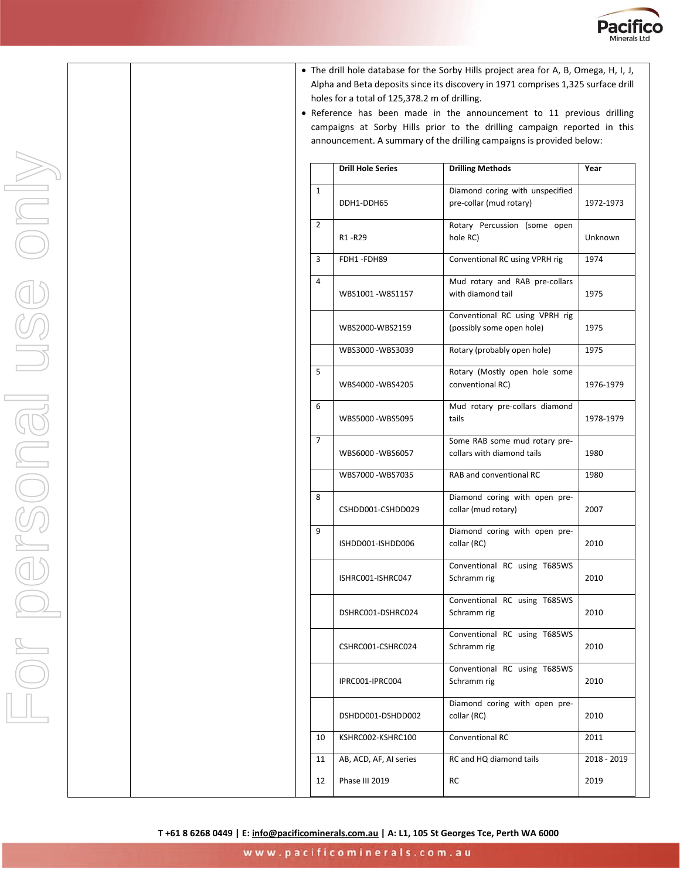

- The drill hole database for the Sorby Hills project area for A, B, Omega, H, I, J, Alpha and Beta deposits since its discovery in 1971 comprises 1,325 surface drill holes for a total of 125,378.2 m of drilling.
- Reference has been made in the announcement to 11 previous drilling campaigns at Sorby Hills prior to the drilling campaign reported in this announcement. A summary of the drilling campaigns is provided below:

|    | <b>Drill Hole Series</b> | <b>Drilling Methods</b>                                     | Year        |
|----|--------------------------|-------------------------------------------------------------|-------------|
| 1  | DDH1-DDH65               | Diamond coring with unspecified<br>pre-collar (mud rotary)  | 1972-1973   |
| 2  | R1-R29                   | Rotary Percussion (some open<br>hole RC)                    | Unknown     |
| 3  | FDH1-FDH89               | Conventional RC using VPRH rig                              | 1974        |
| 4  | WBS1001-W8S1157          | Mud rotary and RAB pre-collars<br>with diamond tail         | 1975        |
|    | WBS2000-WBS2159          | Conventional RC using VPRH rig<br>(possibly some open hole) | 1975        |
|    | WBS3000-WBS3039          | Rotary (probably open hole)                                 | 1975        |
| 5  | WBS4000 - WBS4205        | Rotary (Mostly open hole some<br>conventional RC)           | 1976-1979   |
| 6  | WBS5000-WBS5095          | Mud rotary pre-collars diamond<br>tails                     | 1978-1979   |
| 7  | WBS6000 - WBS6057        | Some RAB some mud rotary pre-<br>collars with diamond tails | 1980        |
|    | WBS7000 - WBS7035        | RAB and conventional RC                                     | 1980        |
| 8  | CSHDD001-CSHDD029        | Diamond coring with open pre-<br>collar (mud rotary)        | 2007        |
| 9  | ISHDD001-ISHDD006        | Diamond coring with open pre-<br>collar (RC)                | 2010        |
|    | ISHRC001-ISHRC047        | Conventional RC using T685WS<br>Schramm rig                 | 2010        |
|    | DSHRC001-DSHRC024        | Conventional RC using T685WS<br>Schramm rig                 | 2010        |
|    | CSHRC001-CSHRC024        | Conventional RC using T685WS<br>Schramm rig                 | 2010        |
|    | IPRC001-IPRC004          | Conventional RC using T685WS<br>Schramm rig                 | 2010        |
|    | DSHDD001-DSHDD002        | Diamond coring with open pre-<br>collar (RC)                | 2010        |
| 10 | KSHRC002-KSHRC100        | Conventional RC                                             | 2011        |
| 11 | AB, ACD, AF, AI series   | RC and HQ diamond tails                                     | 2018 - 2019 |
| 12 | <b>Phase III 2019</b>    | RC                                                          | 2019        |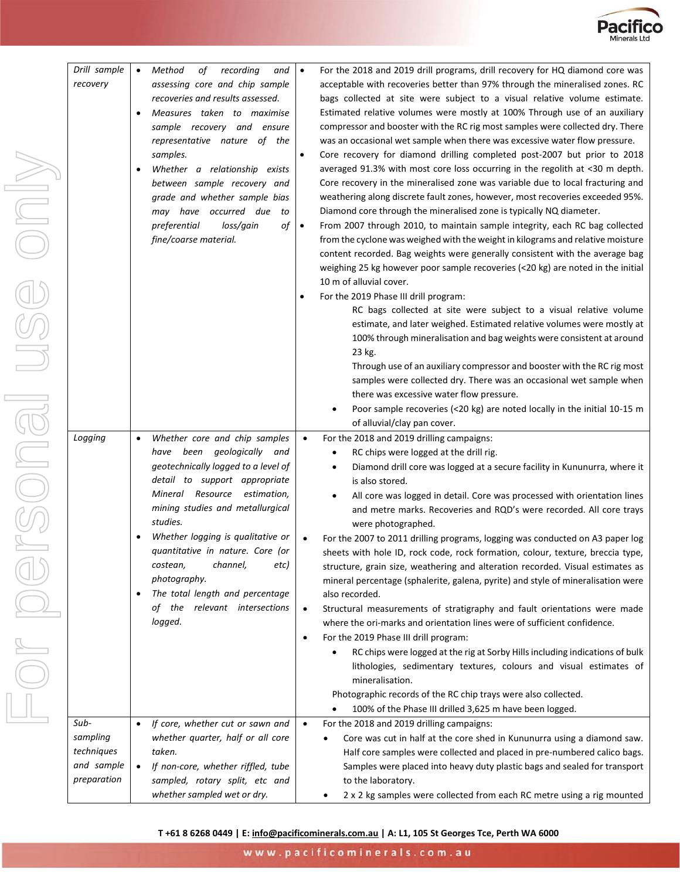

| Drill sample<br>recovery                                    | $\bullet$<br>$\bullet$ | Method<br>recording<br>of<br>and<br>assessing core and chip sample<br>recoveries and results assessed.<br>Measures taken to maximise<br>sample recovery and ensure<br>representative nature of the<br>samples.<br>Whether a relationship exists<br>between sample recovery and<br>grade and whether sample bias<br>may have occurred due<br>to<br>of<br>preferential<br>loss/gain<br>fine/coarse material.                  | $\bullet$<br>$\bullet$<br>$\bullet$<br>$\bullet$ | For the 2018 and 2019 drill programs, drill recovery for HQ diamond core was<br>acceptable with recoveries better than 97% through the mineralised zones. RC<br>bags collected at site were subject to a visual relative volume estimate.<br>Estimated relative volumes were mostly at 100% Through use of an auxiliary<br>compressor and booster with the RC rig most samples were collected dry. There<br>was an occasional wet sample when there was excessive water flow pressure.<br>Core recovery for diamond drilling completed post-2007 but prior to 2018<br>averaged 91.3% with most core loss occurring in the regolith at <30 m depth.<br>Core recovery in the mineralised zone was variable due to local fracturing and<br>weathering along discrete fault zones, however, most recoveries exceeded 95%.<br>Diamond core through the mineralised zone is typically NQ diameter.<br>From 2007 through 2010, to maintain sample integrity, each RC bag collected<br>from the cyclone was weighed with the weight in kilograms and relative moisture<br>content recorded. Bag weights were generally consistent with the average bag<br>weighing 25 kg however poor sample recoveries (<20 kg) are noted in the initial<br>10 m of alluvial cover.<br>For the 2019 Phase III drill program:<br>RC bags collected at site were subject to a visual relative volume<br>estimate, and later weighed. Estimated relative volumes were mostly at<br>100% through mineralisation and bag weights were consistent at around<br>23 kg.<br>Through use of an auxiliary compressor and booster with the RC rig most<br>samples were collected dry. There was an occasional wet sample when<br>there was excessive water flow pressure.<br>Poor sample recoveries (<20 kg) are noted locally in the initial 10-15 m<br>of alluvial/clay pan cover. |
|-------------------------------------------------------------|------------------------|-----------------------------------------------------------------------------------------------------------------------------------------------------------------------------------------------------------------------------------------------------------------------------------------------------------------------------------------------------------------------------------------------------------------------------|--------------------------------------------------|---------------------------------------------------------------------------------------------------------------------------------------------------------------------------------------------------------------------------------------------------------------------------------------------------------------------------------------------------------------------------------------------------------------------------------------------------------------------------------------------------------------------------------------------------------------------------------------------------------------------------------------------------------------------------------------------------------------------------------------------------------------------------------------------------------------------------------------------------------------------------------------------------------------------------------------------------------------------------------------------------------------------------------------------------------------------------------------------------------------------------------------------------------------------------------------------------------------------------------------------------------------------------------------------------------------------------------------------------------------------------------------------------------------------------------------------------------------------------------------------------------------------------------------------------------------------------------------------------------------------------------------------------------------------------------------------------------------------------------------------------------------------------------------------------------------------------------------------------|
| Logging                                                     | $\bullet$<br>$\bullet$ | Whether core and chip samples<br>have been geologically and<br>geotechnically logged to a level of<br>detail to support appropriate<br>Mineral Resource estimation,<br>mining studies and metallurgical<br>studies.<br>Whether logging is qualitative or<br>quantitative in nature. Core (or<br>channel,<br>etc)<br>costean,<br>photography.<br>The total length and percentage<br>of the relevant intersections<br>logged. | $\bullet$<br>$\bullet$<br>$\bullet$<br>$\bullet$ | For the 2018 and 2019 drilling campaigns:<br>RC chips were logged at the drill rig.<br>Diamond drill core was logged at a secure facility in Kununurra, where it<br>$\bullet$<br>is also stored.<br>All core was logged in detail. Core was processed with orientation lines<br>and metre marks. Recoveries and RQD's were recorded. All core trays<br>were photographed.<br>For the 2007 to 2011 drilling programs, logging was conducted on A3 paper log<br>sheets with hole ID, rock code, rock formation, colour, texture, breccia type,<br>structure, grain size, weathering and alteration recorded. Visual estimates as<br>mineral percentage (sphalerite, galena, pyrite) and style of mineralisation were<br>also recorded.<br>Structural measurements of stratigraphy and fault orientations were made<br>where the ori-marks and orientation lines were of sufficient confidence.<br>For the 2019 Phase III drill program:<br>RC chips were logged at the rig at Sorby Hills including indications of bulk<br>lithologies, sedimentary textures, colours and visual estimates of<br>mineralisation.<br>Photographic records of the RC chip trays were also collected.<br>100% of the Phase III drilled 3,625 m have been logged.<br>$\bullet$                                                                                                                                                                                                                                                                                                                                                                                                                                                                                                                                                                                          |
| Sub-<br>sampling<br>techniques<br>and sample<br>preparation | $\bullet$              | If core, whether cut or sawn and<br>whether quarter, half or all core<br>taken.<br>If non-core, whether riffled, tube<br>sampled, rotary split, etc and<br>whether sampled wet or dry.                                                                                                                                                                                                                                      | $\bullet$                                        | For the 2018 and 2019 drilling campaigns:<br>Core was cut in half at the core shed in Kununurra using a diamond saw.<br>Half core samples were collected and placed in pre-numbered calico bags.<br>Samples were placed into heavy duty plastic bags and sealed for transport<br>to the laboratory.<br>2 x 2 kg samples were collected from each RC metre using a rig mounted<br>$\bullet$                                                                                                                                                                                                                                                                                                                                                                                                                                                                                                                                                                                                                                                                                                                                                                                                                                                                                                                                                                                                                                                                                                                                                                                                                                                                                                                                                                                                                                                        |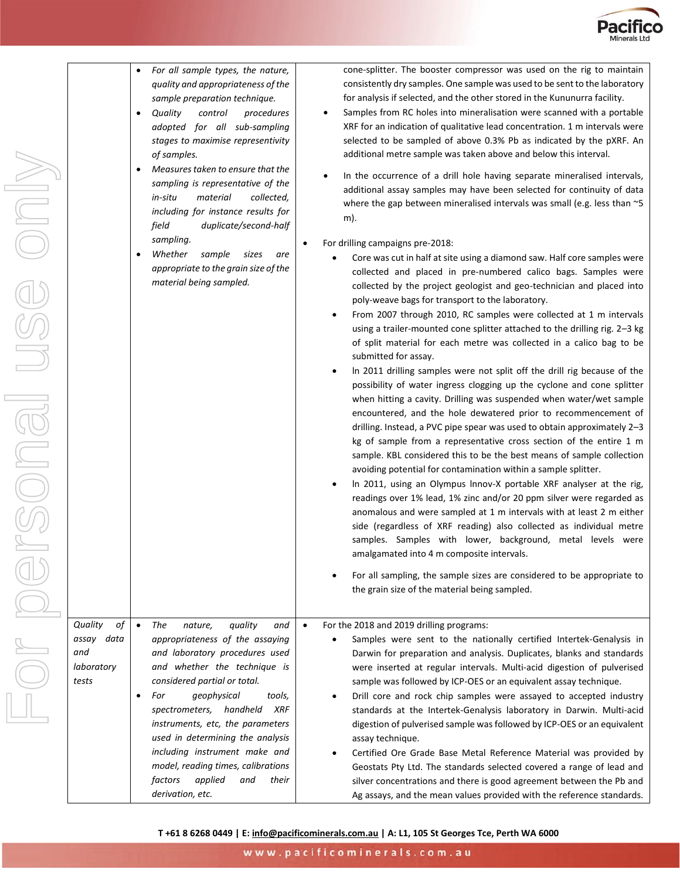

|                     | For all sample types, the nature,<br>quality and appropriateness of the      |
|---------------------|------------------------------------------------------------------------------|
|                     | sample preparation technique.<br>Quality<br>procedures<br>control            |
|                     | adopted for all<br>sub-sampling<br>stages to maximise representivity         |
|                     | of samples.                                                                  |
|                     | Measures taken to ensure that the<br>sampling is representative of the       |
|                     | in-situ<br>material<br>collected,<br>including for instance results for      |
|                     | duplicate/second-half<br>field<br>sampling.                                  |
|                     | Whether<br>sample<br>sizes<br>are                                            |
|                     | appropriate to the grain size of the<br>material being sampled.              |
|                     |                                                                              |
|                     |                                                                              |
|                     |                                                                              |
|                     |                                                                              |
|                     |                                                                              |
|                     |                                                                              |
|                     |                                                                              |
|                     |                                                                              |
|                     |                                                                              |
|                     |                                                                              |
|                     |                                                                              |
|                     |                                                                              |
|                     |                                                                              |
| Quality<br>of       | The<br>quality<br>$\bullet$<br>and<br>nature,                                |
| assay data<br>and   | appropriateness of the assaying<br>and laboratory procedures used            |
| laboratory<br>tests | and whether the technique is<br>considered partial or total.                 |
|                     | For<br>geophysical<br>tools,                                                 |
|                     | spectrometers,<br><b>XRF</b><br>handheld<br>instruments, etc, the parameters |
|                     | used in determining the anglusis                                             |

cone-splitter. The booster compressor was used on the rig to maintain consistently dry samples. One sample was used to be sent to the laboratory for analysis if selected, and the other stored in the Kununurra facility.

- Samples from RC holes into mineralisation were scanned with a portable XRF for an indication of qualitative lead concentration. 1 m intervals were selected to be sampled of above 0.3% Pb as indicated by the pXRF. An additional metre sample was taken above and below this interval.
- In the occurrence of a drill hole having separate mineralised intervals, additional assay samples may have been selected for continuity of data where the gap between mineralised intervals was small (e.g. less than ~5 m).
- For drilling campaigns pre-2018:

- Core was cut in half at site using a diamond saw. Half core samples were collected and placed in pre-numbered calico bags. Samples were collected by the project geologist and geo-technician and placed into poly-weave bags for transport to the laboratory.
- From 2007 through 2010, RC samples were collected at 1 m intervals using a trailer-mounted cone splitter attached to the drilling rig. 2–3 kg of split material for each metre was collected in a calico bag to be submitted for assay.
- ln 2011 drilling samples were not split off the drill rig because of the possibility of water ingress clogging up the cyclone and cone splitter when hitting a cavity. Drilling was suspended when water/wet sample encountered, and the hole dewatered prior to recommencement of drilling. Instead, a PVC pipe spear was used to obtain approximately 2–3 kg of sample from a representative cross section of the entire 1 m sample. KBL considered this to be the best means of sample collection avoiding potential for contamination within a sample splitter.
- ln 2011, using an Olympus lnnov-X portable XRF analyser at the rig, readings over 1% lead, 1% zinc and/or 20 ppm silver were regarded as anomalous and were sampled at 1 m intervals with at least 2 m either side (regardless of XRF reading) also collected as individual metre samples. Samples with lower, background, metal levels were amalgamated into 4 m composite intervals.
- For all sampling, the sample sizes are considered to be appropriate to the grain size of the material being sampled.

• *The nature, quality and appropriateness of the assaying and laboratory procedures used*  the technique is *considered partial or total.* • *For geophysical tools, spectrometers, handheld XRF instruments, etc, the parameters used in determining the analysis including instrument make and model, reading times, calibrations*  factors applied and their *derivation, etc.* • For the 2018 and 2019 drilling programs: • Samples were sent to the nationally certified Intertek-Genalysis in Darwin for preparation and analysis. Duplicates, blanks and standards were inserted at regular intervals. Multi-acid digestion of pulverised sample was followed by ICP-OES or an equivalent assay technique. • Drill core and rock chip samples were assayed to accepted industry standards at the Intertek-Genalysis laboratory in Darwin. Multi-acid digestion of pulverised sample was followed by ICP-OES or an equivalent assay technique. • Certified Ore Grade Base Metal Reference Material was provided by Geostats Pty Ltd. The standards selected covered a range of lead and silver concentrations and there is good agreement between the Pb and Ag assays, and the mean values provided with the reference standards.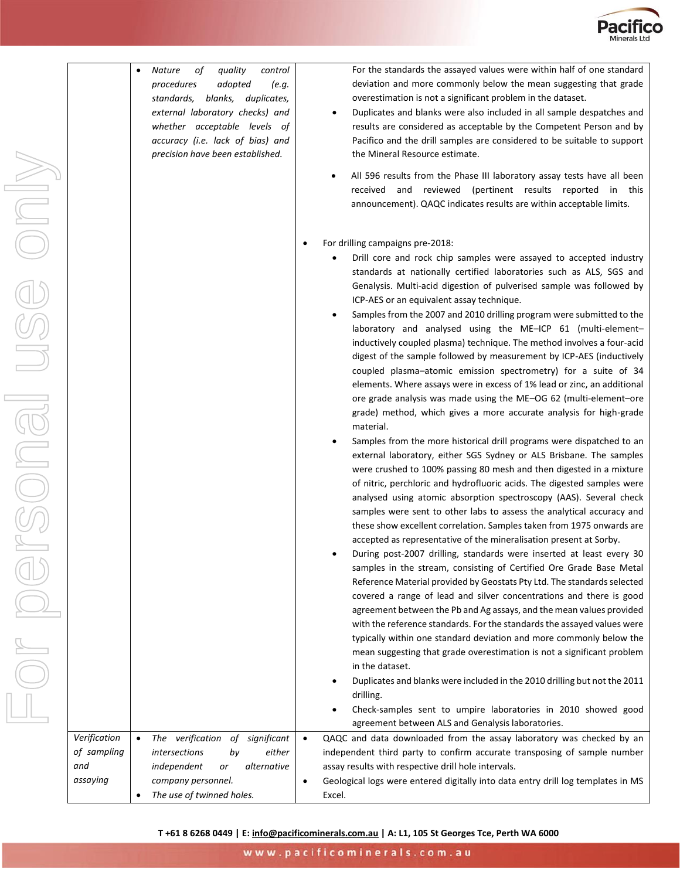

|              |           | Nature<br>procedures<br>standards, | of<br>external laboratory checks) and<br>whether acceptable levels of<br>accuracy (i.e. lack of bias) and<br>precision have been established. | quality<br>adopted | blanks, duplicates, | control<br>(e.g. |
|--------------|-----------|------------------------------------|-----------------------------------------------------------------------------------------------------------------------------------------------|--------------------|---------------------|------------------|
|              |           |                                    |                                                                                                                                               |                    |                     |                  |
| Verification | $\bullet$ | The                                | verification of significant                                                                                                                   |                    |                     |                  |

*of sampling and assaying*

• *The use of twinned holes.*

For the standards the assayed values were within half of one standard deviation and more commonly below the mean suggesting that grade overestimation is not a significant problem in the dataset.

- Duplicates and blanks were also included in all sample despatches and results are considered as acceptable by the Competent Person and by Pacifico and the drill samples are considered to be suitable to support the Mineral Resource estimate.
- All 596 results from the Phase III laboratory assay tests have all been received and reviewed (pertinent results reported in this announcement). QAQC indicates results are within acceptable limits.
- For drilling campaigns pre-2018:

- Drill core and rock chip samples were assayed to accepted industry standards at nationally certified laboratories such as ALS, SGS and Genalysis. Multi-acid digestion of pulverised sample was followed by ICP-AES or an equivalent assay technique.
- Samples from the 2007 and 2010 drilling program were submitted to the laboratory and analysed using the ME–ICP 61 (multi-element– inductively coupled plasma) technique. The method involves a four-acid digest of the sample followed by measurement by ICP-AES (inductively coupled plasma–atomic emission spectrometry) for a suite of 34 elements. Where assays were in excess of 1% lead or zinc, an additional ore grade analysis was made using the ME–OG 62 (multi-element–ore grade) method, which gives a more accurate analysis for high-grade material.
- Samples from the more historical drill programs were dispatched to an external laboratory, either SGS Sydney or ALS Brisbane. The samples were crushed to 100% passing 80 mesh and then digested in a mixture of nitric, perchloric and hydrofluoric acids. The digested samples were analysed using atomic absorption spectroscopy (AAS). Several check samples were sent to other labs to assess the analytical accuracy and these show excellent correlation. Samples taken from 1975 onwards are accepted as representative of the mineralisation present at Sorby.
- During post-2007 drilling, standards were inserted at least every 30 samples in the stream, consisting of Certified Ore Grade Base Metal Reference Material provided by Geostats Pty Ltd. The standards selected covered a range of lead and silver concentrations and there is good agreement between the Pb and Ag assays, and the mean values provided with the reference standards. For the standards the assayed values were typically within one standard deviation and more commonly below the mean suggesting that grade overestimation is not a significant problem in the dataset.
- Duplicates and blanks were included in the 2010 drilling but not the 2011 drilling.
- Check-samples sent to umpire laboratories in 2010 showed good agreement between ALS and Genalysis laboratories.

• *The verification of significant intersections by either independent or alternative company personnel.* • QAQC and data downloaded from the assay laboratory was checked by an independent third party to confirm accurate transposing of sample number assay results with respective drill hole intervals. • Geological logs were entered digitally into data entry drill log templates in MS

Excel.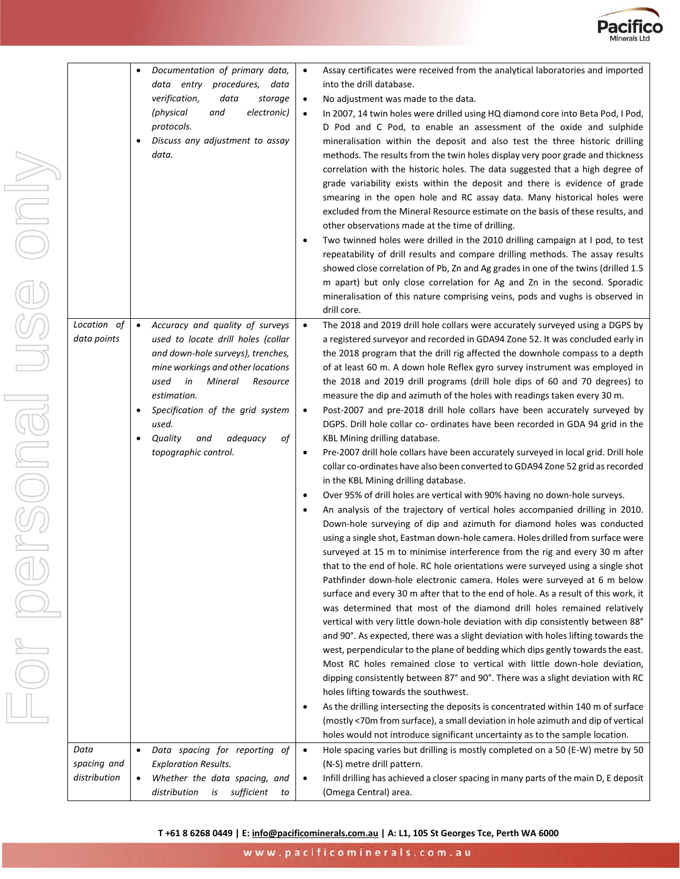

| <b>INDI</b> |                                     | Documentation of primary data,<br>data entry procedures,<br>data<br>verification,<br>data<br>storage<br>electronic)<br>(physical<br>and<br>protocols.<br>Discuss any adjustment to assay<br>data.                                                                                                                         | Assay certificates were received from the analytical laboratories and imported<br>into the drill database.<br>No adjustment was made to the data.<br>In 2007, 14 twin holes were drilled using HQ diamond core into Beta Pod, I Pod,<br>D Pod and C Pod, to enable an assessment of the oxide and sulphide<br>mineralisation within the deposit and also test the three historic drilling<br>methods. The results from the twin holes display very poor grade and thickness<br>correlation with the historic holes. The data suggested that a high degree of<br>grade variability exists within the deposit and there is evidence of grade<br>smearing in the open hole and RC assay data. Many historical holes were<br>excluded from the Mineral Resource estimate on the basis of these results, and<br>other observations made at the time of drilling.<br>Two twinned holes were drilled in the 2010 drilling campaign at I pod, to test<br>repeatability of drill results and compare drilling methods. The assay results<br>showed close correlation of Pb, Zn and Ag grades in one of the twins (drilled 1.5<br>m apart) but only close correlation for Ag and Zn in the second. Sporadic<br>mineralisation of this nature comprising veins, pods and vughs is observed in<br>drill core.                                                                                                                                                                                                                                                                                                                                                                                                                                                                                                                                                                                                                                                                                                                                                                                                                                                                                                                                                                                                                                                                                             |
|-------------|-------------------------------------|---------------------------------------------------------------------------------------------------------------------------------------------------------------------------------------------------------------------------------------------------------------------------------------------------------------------------|-----------------------------------------------------------------------------------------------------------------------------------------------------------------------------------------------------------------------------------------------------------------------------------------------------------------------------------------------------------------------------------------------------------------------------------------------------------------------------------------------------------------------------------------------------------------------------------------------------------------------------------------------------------------------------------------------------------------------------------------------------------------------------------------------------------------------------------------------------------------------------------------------------------------------------------------------------------------------------------------------------------------------------------------------------------------------------------------------------------------------------------------------------------------------------------------------------------------------------------------------------------------------------------------------------------------------------------------------------------------------------------------------------------------------------------------------------------------------------------------------------------------------------------------------------------------------------------------------------------------------------------------------------------------------------------------------------------------------------------------------------------------------------------------------------------------------------------------------------------------------------------------------------------------------------------------------------------------------------------------------------------------------------------------------------------------------------------------------------------------------------------------------------------------------------------------------------------------------------------------------------------------------------------------------------------------------------------------------------------------------------------------------|
| ONG         | Location of<br>data points          | Accuracy and quality of surveys<br>$\bullet$<br>used to locate drill holes (collar<br>and down-hole surveys), trenches,<br>mine workings and other locations<br>used<br>in<br>Mineral<br>Resource<br>estimation.<br>Specification of the grid system<br>used.<br>Quality<br>and<br>adequacy<br>оf<br>topographic control. | The 2018 and 2019 drill hole collars were accurately surveyed using a DGPS by<br>$\bullet$<br>a registered surveyor and recorded in GDA94 Zone 52. It was concluded early in<br>the 2018 program that the drill rig affected the downhole compass to a depth<br>of at least 60 m. A down hole Reflex gyro survey instrument was employed in<br>the 2018 and 2019 drill programs (drill hole dips of 60 and 70 degrees) to<br>measure the dip and azimuth of the holes with readings taken every 30 m.<br>Post-2007 and pre-2018 drill hole collars have been accurately surveyed by<br>DGPS. Drill hole collar co- ordinates have been recorded in GDA 94 grid in the<br>KBL Mining drilling database.<br>Pre-2007 drill hole collars have been accurately surveyed in local grid. Drill hole<br>collar co-ordinates have also been converted to GDA94 Zone 52 grid as recorded<br>in the KBL Mining drilling database.<br>Over 95% of drill holes are vertical with 90% having no down-hole surveys.<br>An analysis of the trajectory of vertical holes accompanied drilling in 2010.<br>Down-hole surveying of dip and azimuth for diamond holes was conducted<br>using a single shot, Eastman down-hole camera. Holes drilled from surface were<br>surveyed at 15 m to minimise interference from the rig and every 30 m after<br>that to the end of hole. RC hole orientations were surveyed using a single shot<br>Pathfinder down-hole electronic camera. Holes were surveyed at 6 m below<br>surface and every 30 m after that to the end of hole. As a result of this work, it<br>was determined that most of the diamond drill holes remained relatively<br>vertical with very little down-hole deviation with dip consistently between 88°<br>and 90°. As expected, there was a slight deviation with holes lifting towards the<br>west, perpendicular to the plane of bedding which dips gently towards the east.<br>Most RC holes remained close to vertical with little down-hole deviation,<br>dipping consistently between 87° and 90°. There was a slight deviation with RC<br>holes lifting towards the southwest.<br>As the drilling intersecting the deposits is concentrated within 140 m of surface<br>(mostly <70m from surface), a small deviation in hole azimuth and dip of vertical<br>holes would not introduce significant uncertainty as to the sample location. |
|             | Data<br>spacing and<br>distribution | Data spacing for reporting of<br>$\bullet$<br><b>Exploration Results.</b><br>Whether the data spacing, and<br>distribution<br>sufficient<br>is<br>to                                                                                                                                                                      | Hole spacing varies but drilling is mostly completed on a 50 (E-W) metre by 50<br>$\bullet$<br>(N-S) metre drill pattern.<br>Infill drilling has achieved a closer spacing in many parts of the main D, E deposit<br>$\bullet$<br>(Omega Central) area.                                                                                                                                                                                                                                                                                                                                                                                                                                                                                                                                                                                                                                                                                                                                                                                                                                                                                                                                                                                                                                                                                                                                                                                                                                                                                                                                                                                                                                                                                                                                                                                                                                                                                                                                                                                                                                                                                                                                                                                                                                                                                                                                       |

www.pacificominerals.com.au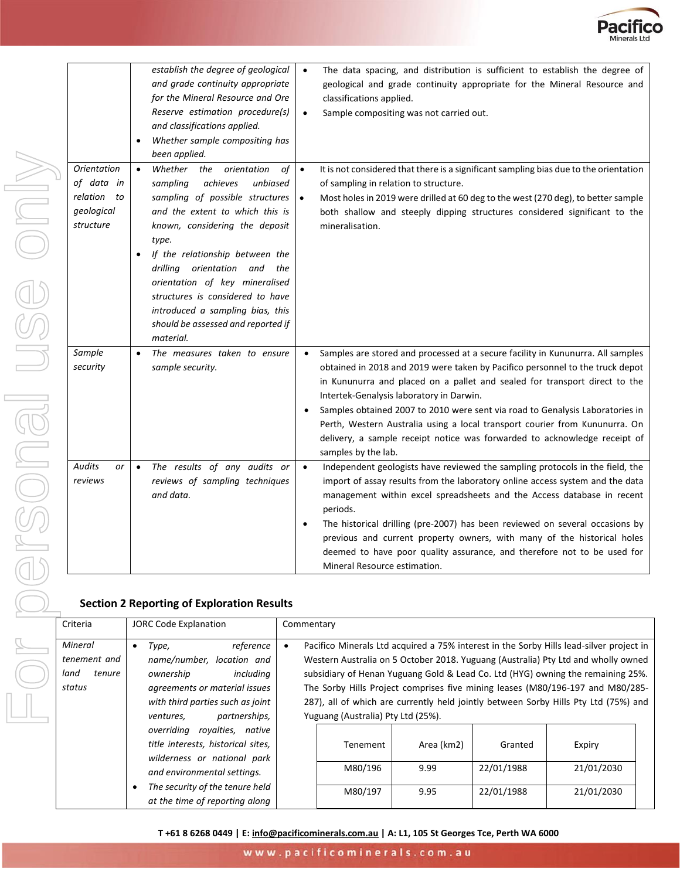

|                                                                               | $\bullet$              | establish the degree of geological<br>and grade continuity appropriate<br>for the Mineral Resource and Ore<br>Reserve estimation procedure(s)<br>and classifications applied.<br>Whether sample compositing has<br>been applied.                                                                                                                                                                                         | $\bullet$<br>$\bullet$ | The data spacing, and distribution is sufficient to establish the degree of<br>geological and grade continuity appropriate for the Mineral Resource and<br>classifications applied.<br>Sample compositing was not carried out.                                                                                                                                                                                                                                                                                                                                 |
|-------------------------------------------------------------------------------|------------------------|--------------------------------------------------------------------------------------------------------------------------------------------------------------------------------------------------------------------------------------------------------------------------------------------------------------------------------------------------------------------------------------------------------------------------|------------------------|----------------------------------------------------------------------------------------------------------------------------------------------------------------------------------------------------------------------------------------------------------------------------------------------------------------------------------------------------------------------------------------------------------------------------------------------------------------------------------------------------------------------------------------------------------------|
| <b>Orientation</b><br>of data in<br>relation<br>to<br>geological<br>structure | $\bullet$<br>$\bullet$ | Whether<br>the<br>orientation<br>of<br>sampling<br>achieves<br>unbiased<br>sampling of possible structures<br>and the extent to which this is<br>known, considering the deposit<br>type.<br>If the relationship between the<br>drilling orientation and the<br>orientation of key mineralised<br>structures is considered to have<br>introduced a sampling bias, this<br>should be assessed and reported if<br>material. | $\bullet$<br>$\bullet$ | It is not considered that there is a significant sampling bias due to the orientation<br>of sampling in relation to structure.<br>Most holes in 2019 were drilled at 60 deg to the west (270 deg), to better sample<br>both shallow and steeply dipping structures considered significant to the<br>mineralisation.                                                                                                                                                                                                                                            |
| Sample<br>security                                                            | $\bullet$              | The measures taken to ensure<br>sample security.                                                                                                                                                                                                                                                                                                                                                                         |                        | Samples are stored and processed at a secure facility in Kununurra. All samples<br>obtained in 2018 and 2019 were taken by Pacifico personnel to the truck depot<br>in Kununurra and placed on a pallet and sealed for transport direct to the<br>Intertek-Genalysis laboratory in Darwin.<br>Samples obtained 2007 to 2010 were sent via road to Genalysis Laboratories in<br>Perth, Western Australia using a local transport courier from Kununurra. On<br>delivery, a sample receipt notice was forwarded to acknowledge receipt of<br>samples by the lab. |
| <b>Audits</b><br>or<br>reviews                                                | $\bullet$              | The results of any audits or<br>reviews of sampling techniques<br>and data.                                                                                                                                                                                                                                                                                                                                              | $\bullet$              | Independent geologists have reviewed the sampling protocols in the field, the<br>import of assay results from the laboratory online access system and the data<br>management within excel spreadsheets and the Access database in recent<br>periods.<br>The historical drilling (pre-2007) has been reviewed on several occasions by<br>previous and current property owners, with many of the historical holes<br>deemed to have poor quality assurance, and therefore not to be used for<br>Mineral Resource estimation.                                     |

#### **Section 2 Reporting of Exploration Results**

| Criteria                                            | <b>JORC Code Explanation</b>                                                                                                                                                                          |                                                                                                                                                                                                                                                                                                                                                                                                                                                                                | Commentary                     |                            |                                     |                                    |  |  |
|-----------------------------------------------------|-------------------------------------------------------------------------------------------------------------------------------------------------------------------------------------------------------|--------------------------------------------------------------------------------------------------------------------------------------------------------------------------------------------------------------------------------------------------------------------------------------------------------------------------------------------------------------------------------------------------------------------------------------------------------------------------------|--------------------------------|----------------------------|-------------------------------------|------------------------------------|--|--|
| Mineral<br>tenement and<br>tenure<br>land<br>status | reference<br>Type,<br>name/number, location and<br>includina<br>ownership<br>agreements or material issues<br>with third parties such as joint<br>partnerships,<br>ventures,                          | Pacifico Minerals Ltd acquired a 75% interest in the Sorby Hills lead-silver project in<br>Western Australia on 5 October 2018. Yuguang (Australia) Pty Ltd and wholly owned<br>subsidiary of Henan Yuguang Gold & Lead Co. Ltd (HYG) owning the remaining 25%.<br>The Sorby Hills Project comprises five mining leases (M80/196-197 and M80/285-<br>287), all of which are currently held jointly between Sorby Hills Pty Ltd (75%) and<br>Yuguang (Australia) Pty Ltd (25%). |                                |                            |                                     |                                    |  |  |
|                                                     | overriding royalties, native<br>title interests, historical sites,<br>wilderness or national park<br>and environmental settings.<br>The security of the tenure held<br>at the time of reporting along |                                                                                                                                                                                                                                                                                                                                                                                                                                                                                | Tenement<br>M80/196<br>M80/197 | Area (km2)<br>9.99<br>9.95 | Granted<br>22/01/1988<br>22/01/1988 | Expiry<br>21/01/2030<br>21/01/2030 |  |  |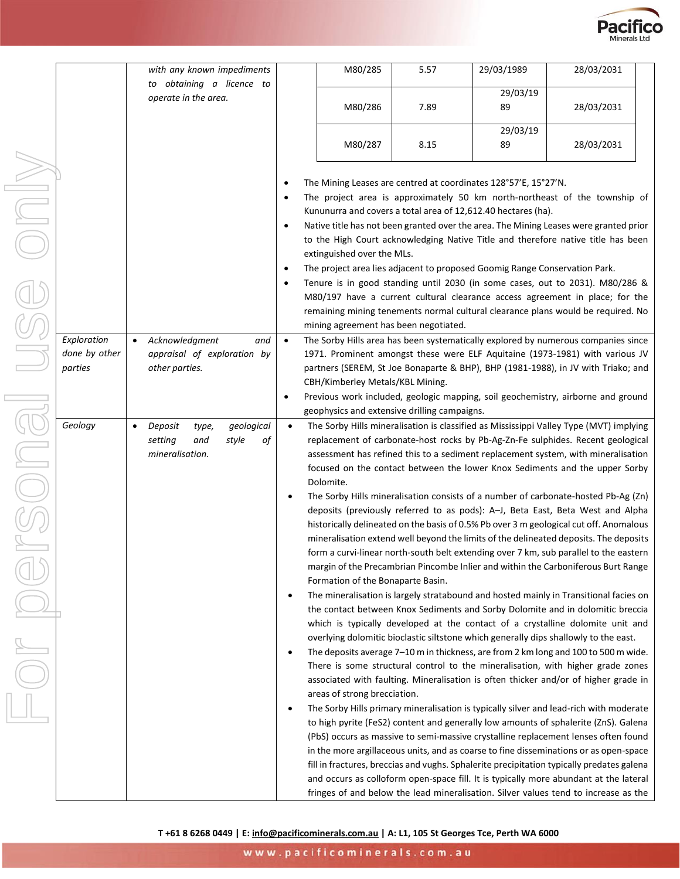

|               | with any known impediments                  |           | M80/285                               | 5.57                                                                       | 29/03/1989     | 28/03/2031                                                                                                                                                             |  |
|---------------|---------------------------------------------|-----------|---------------------------------------|----------------------------------------------------------------------------|----------------|------------------------------------------------------------------------------------------------------------------------------------------------------------------------|--|
|               | to obtaining a licence to                   |           |                                       |                                                                            |                |                                                                                                                                                                        |  |
|               | operate in the area.                        |           | M80/286                               | 7.89                                                                       | 29/03/19<br>89 | 28/03/2031                                                                                                                                                             |  |
|               |                                             |           |                                       |                                                                            | 29/03/19       |                                                                                                                                                                        |  |
|               |                                             |           | M80/287                               | 8.15                                                                       | 89             | 28/03/2031                                                                                                                                                             |  |
|               |                                             | $\bullet$ |                                       | The Mining Leases are centred at coordinates 128°57'E, 15°27'N.            |                |                                                                                                                                                                        |  |
|               |                                             | $\bullet$ |                                       |                                                                            |                | The project area is approximately 50 km north-northeast of the township of                                                                                             |  |
|               |                                             |           |                                       | Kununurra and covers a total area of 12,612.40 hectares (ha).              |                |                                                                                                                                                                        |  |
|               |                                             | $\bullet$ |                                       |                                                                            |                | Native title has not been granted over the area. The Mining Leases were granted prior                                                                                  |  |
|               |                                             |           | extinguished over the MLs.            |                                                                            |                | to the High Court acknowledging Native Title and therefore native title has been                                                                                       |  |
|               |                                             | $\bullet$ |                                       | The project area lies adjacent to proposed Goomig Range Conservation Park. |                |                                                                                                                                                                        |  |
|               |                                             | $\bullet$ |                                       |                                                                            |                | Tenure is in good standing until 2030 (in some cases, out to 2031). M80/286 &<br>M80/197 have a current cultural clearance access agreement in place; for the          |  |
|               |                                             |           |                                       |                                                                            |                | remaining mining tenements normal cultural clearance plans would be required. No                                                                                       |  |
|               |                                             |           | mining agreement has been negotiated. |                                                                            |                |                                                                                                                                                                        |  |
| Exploration   | Acknowledgment<br>and<br>$\bullet$          | $\bullet$ |                                       |                                                                            |                | The Sorby Hills area has been systematically explored by numerous companies since                                                                                      |  |
| done by other | appraisal of exploration by                 |           |                                       |                                                                            |                | 1971. Prominent amongst these were ELF Aquitaine (1973-1981) with various JV                                                                                           |  |
| parties       | other parties.                              |           |                                       |                                                                            |                | partners (SEREM, St Joe Bonaparte & BHP), BHP (1981-1988), in JV with Triako; and                                                                                      |  |
|               |                                             |           | CBH/Kimberley Metals/KBL Mining.      |                                                                            |                |                                                                                                                                                                        |  |
|               |                                             | $\bullet$ |                                       | geophysics and extensive drilling campaigns.                               |                | Previous work included, geologic mapping, soil geochemistry, airborne and ground                                                                                       |  |
| Geology       | geological<br>Deposit<br>type,<br>$\bullet$ | $\bullet$ |                                       |                                                                            |                | The Sorby Hills mineralisation is classified as Mississippi Valley Type (MVT) implying                                                                                 |  |
|               | setting<br>style<br>оf<br>and               |           |                                       |                                                                            |                | replacement of carbonate-host rocks by Pb-Ag-Zn-Fe sulphides. Recent geological                                                                                        |  |
|               | mineralisation.                             |           |                                       |                                                                            |                | assessment has refined this to a sediment replacement system, with mineralisation                                                                                      |  |
|               |                                             |           |                                       |                                                                            |                | focused on the contact between the lower Knox Sediments and the upper Sorby                                                                                            |  |
|               |                                             |           | Dolomite.                             |                                                                            |                |                                                                                                                                                                        |  |
|               |                                             |           |                                       |                                                                            |                | The Sorby Hills mineralisation consists of a number of carbonate-hosted Pb-Ag (Zn)                                                                                     |  |
|               |                                             |           |                                       |                                                                            |                | deposits (previously referred to as pods): A-J, Beta East, Beta West and Alpha                                                                                         |  |
|               |                                             |           |                                       |                                                                            |                | historically delineated on the basis of 0.5% Pb over 3 m geological cut off. Anomalous                                                                                 |  |
|               |                                             |           |                                       |                                                                            |                | mineralisation extend well beyond the limits of the delineated deposits. The deposits                                                                                  |  |
|               |                                             |           |                                       |                                                                            |                | form a curvi-linear north-south belt extending over 7 km, sub parallel to the eastern                                                                                  |  |
|               |                                             |           | Formation of the Bonaparte Basin.     |                                                                            |                | margin of the Precambrian Pincombe Inlier and within the Carboniferous Burt Range                                                                                      |  |
|               |                                             |           |                                       |                                                                            |                | The mineralisation is largely stratabound and hosted mainly in Transitional facies on                                                                                  |  |
|               |                                             |           |                                       |                                                                            |                | the contact between Knox Sediments and Sorby Dolomite and in dolomitic breccia                                                                                         |  |
|               |                                             |           |                                       |                                                                            |                | which is typically developed at the contact of a crystalline dolomite unit and                                                                                         |  |
|               |                                             |           |                                       |                                                                            |                | overlying dolomitic bioclastic siltstone which generally dips shallowly to the east.                                                                                   |  |
|               |                                             |           |                                       |                                                                            |                | The deposits average 7-10 m in thickness, are from 2 km long and 100 to 500 m wide.                                                                                    |  |
|               |                                             |           |                                       |                                                                            |                | There is some structural control to the mineralisation, with higher grade zones<br>associated with faulting. Mineralisation is often thicker and/or of higher grade in |  |
|               |                                             |           | areas of strong brecciation.          |                                                                            |                |                                                                                                                                                                        |  |
|               |                                             |           |                                       |                                                                            |                | The Sorby Hills primary mineralisation is typically silver and lead-rich with moderate                                                                                 |  |
|               |                                             |           |                                       |                                                                            |                | to high pyrite (FeS2) content and generally low amounts of sphalerite (ZnS). Galena                                                                                    |  |
|               |                                             |           |                                       |                                                                            |                | (PbS) occurs as massive to semi-massive crystalline replacement lenses often found                                                                                     |  |
|               |                                             |           |                                       |                                                                            |                | in the more argillaceous units, and as coarse to fine disseminations or as open-space                                                                                  |  |
|               |                                             |           |                                       |                                                                            |                | fill in fractures, breccias and vughs. Sphalerite precipitation typically predates galena                                                                              |  |
|               |                                             |           |                                       |                                                                            |                | and occurs as colloform open-space fill. It is typically more abundant at the lateral                                                                                  |  |
|               |                                             |           |                                       |                                                                            |                | fringes of and below the lead mineralisation. Silver values tend to increase as the                                                                                    |  |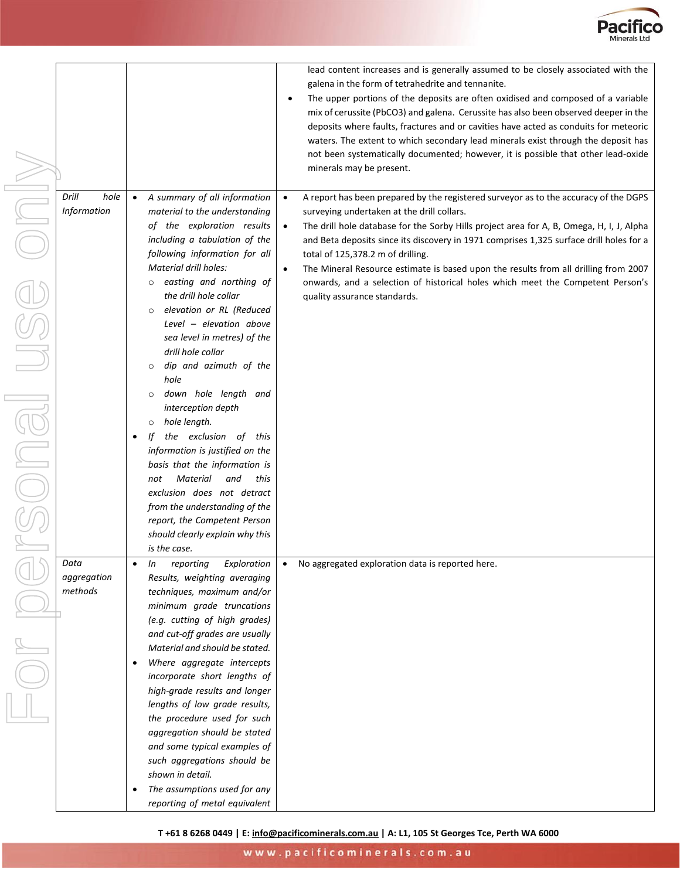

|                    |                                           | lead content increases and is generally assumed to be closely associated with the                     |
|--------------------|-------------------------------------------|-------------------------------------------------------------------------------------------------------|
|                    |                                           | galena in the form of tetrahedrite and tennanite.                                                     |
|                    |                                           | The upper portions of the deposits are often oxidised and composed of a variable<br>$\bullet$         |
|                    |                                           | mix of cerussite (PbCO3) and galena. Cerussite has also been observed deeper in the                   |
|                    |                                           | deposits where faults, fractures and or cavities have acted as conduits for meteoric                  |
|                    |                                           | waters. The extent to which secondary lead minerals exist through the deposit has                     |
|                    |                                           | not been systematically documented; however, it is possible that other lead-oxide                     |
|                    |                                           | minerals may be present.                                                                              |
|                    |                                           |                                                                                                       |
| Drill<br>hole      | A summary of all information<br>$\bullet$ | A report has been prepared by the registered surveyor as to the accuracy of the DGPS<br>$\bullet$     |
| <b>Information</b> | material to the understanding             | surveying undertaken at the drill collars.                                                            |
|                    | of the exploration results                | The drill hole database for the Sorby Hills project area for A, B, Omega, H, I, J, Alpha<br>$\bullet$ |
|                    | including a tabulation of the             | and Beta deposits since its discovery in 1971 comprises 1,325 surface drill holes for a               |
|                    | following information for all             | total of 125,378.2 m of drilling.                                                                     |
|                    | <b>Material drill holes:</b>              | The Mineral Resource estimate is based upon the results from all drilling from 2007<br>$\bullet$      |
|                    | easting and northing of                   | onwards, and a selection of historical holes which meet the Competent Person's                        |
|                    | the drill hole collar                     | quality assurance standards.                                                                          |
|                    | elevation or RL (Reduced<br>$\circ$       |                                                                                                       |
|                    | Level - elevation above                   |                                                                                                       |
|                    | sea level in metres) of the               |                                                                                                       |
|                    | drill hole collar                         |                                                                                                       |
|                    | dip and azimuth of the<br>$\circ$         |                                                                                                       |
|                    | hole                                      |                                                                                                       |
|                    | down hole length and<br>$\circ$           |                                                                                                       |
|                    | interception depth                        |                                                                                                       |
|                    | hole length.<br>$\circ$                   |                                                                                                       |
|                    | the exclusion of this<br>Ιf               |                                                                                                       |
|                    | information is justified on the           |                                                                                                       |
|                    | basis that the information is             |                                                                                                       |
|                    | Material<br>and<br>this<br>not            |                                                                                                       |
|                    | exclusion does not detract                |                                                                                                       |
|                    | from the understanding of the             |                                                                                                       |
|                    | report, the Competent Person              |                                                                                                       |
|                    | should clearly explain why this           |                                                                                                       |
|                    | is the case.                              |                                                                                                       |
| Data               | reporting<br>In<br>Exploration            | No aggregated exploration data is reported here.<br>$\bullet$                                         |
| aggregation        | Results, weighting averaging              |                                                                                                       |
| methods            | techniques, maximum and/or                |                                                                                                       |
|                    | minimum grade truncations                 |                                                                                                       |
|                    | (e.g. cutting of high grades)             |                                                                                                       |
|                    | and cut-off grades are usually            |                                                                                                       |
|                    | Material and should be stated.            |                                                                                                       |
|                    | Where aggregate intercepts                |                                                                                                       |
|                    | incorporate short lengths of              |                                                                                                       |
|                    | high-grade results and longer             |                                                                                                       |
|                    | lengths of low grade results,             |                                                                                                       |
|                    | the procedure used for such               |                                                                                                       |
|                    | aggregation should be stated              |                                                                                                       |
|                    | and some typical examples of              |                                                                                                       |
|                    | such aggregations should be               |                                                                                                       |
|                    | shown in detail.                          |                                                                                                       |
|                    | The assumptions used for any<br>٠         |                                                                                                       |
|                    | reporting of metal equivalent             |                                                                                                       |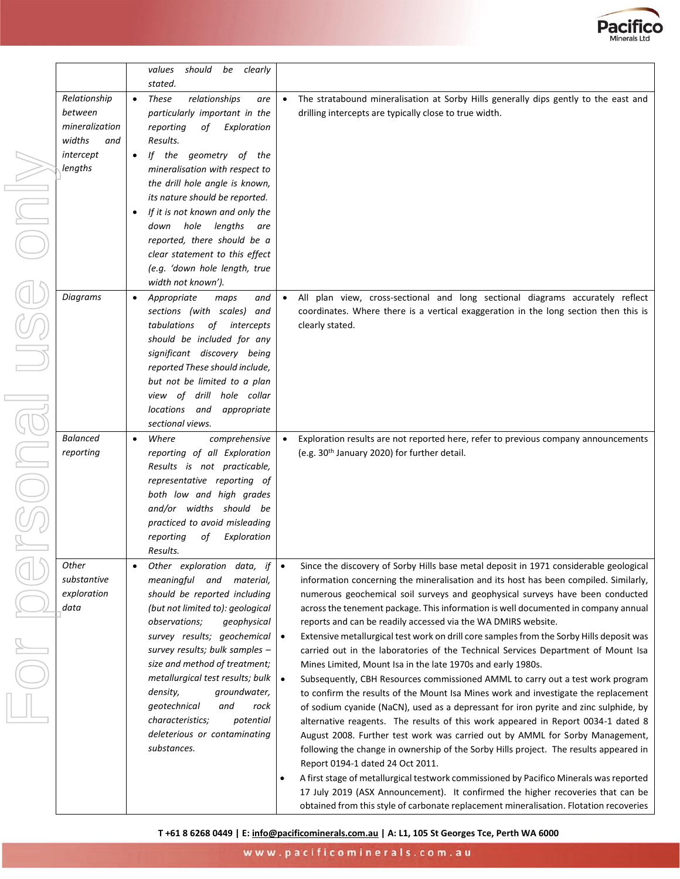

|                                                                                    |                                     | values<br>should be<br>clearly                                                                                                                                                                                                                                                                                                                                                                                                                        |                                     |                                                                                                                                                                                                                                                                                                                                                                                                                                                                                                                                                                                                                                                                                                                                                                                                                                                                                                                                                                                                                                                                                                                                                                                                                                        |
|------------------------------------------------------------------------------------|-------------------------------------|-------------------------------------------------------------------------------------------------------------------------------------------------------------------------------------------------------------------------------------------------------------------------------------------------------------------------------------------------------------------------------------------------------------------------------------------------------|-------------------------------------|----------------------------------------------------------------------------------------------------------------------------------------------------------------------------------------------------------------------------------------------------------------------------------------------------------------------------------------------------------------------------------------------------------------------------------------------------------------------------------------------------------------------------------------------------------------------------------------------------------------------------------------------------------------------------------------------------------------------------------------------------------------------------------------------------------------------------------------------------------------------------------------------------------------------------------------------------------------------------------------------------------------------------------------------------------------------------------------------------------------------------------------------------------------------------------------------------------------------------------------|
| Relationship<br>between<br>mineralization<br>widths<br>and<br>intercept<br>lengths | $\bullet$<br>$\bullet$<br>$\bullet$ | stated.<br><b>These</b><br>relationships<br>are<br>particularly important in the<br>reporting<br>Exploration<br>of<br>Results.<br>If the geometry of the<br>mineralisation with respect to<br>the drill hole angle is known,<br>its nature should be reported.<br>If it is not known and only the<br>down hole lengths<br>are<br>reported, there should be a<br>clear statement to this effect<br>(e.g. 'down hole length, true<br>width not known'). | $\bullet$                           | The stratabound mineralisation at Sorby Hills generally dips gently to the east and<br>drilling intercepts are typically close to true width.                                                                                                                                                                                                                                                                                                                                                                                                                                                                                                                                                                                                                                                                                                                                                                                                                                                                                                                                                                                                                                                                                          |
| Diagrams                                                                           | $\bullet$                           | Appropriate<br>maps<br>and<br>sections (with scales)<br>and<br>tabulations<br>of intercepts<br>should be included for any<br>significant discovery being<br>reported These should include,<br>but not be limited to a plan<br>view of drill hole collar<br>locations and<br>appropriate<br>sectional views.                                                                                                                                           | $\bullet$                           | All plan view, cross-sectional and long sectional diagrams accurately reflect<br>coordinates. Where there is a vertical exaggeration in the long section then this is<br>clearly stated.                                                                                                                                                                                                                                                                                                                                                                                                                                                                                                                                                                                                                                                                                                                                                                                                                                                                                                                                                                                                                                               |
| <b>Balanced</b><br>reporting                                                       | $\bullet$                           | Where<br>comprehensive<br>reporting of all Exploration<br>Results is not practicable,<br>representative reporting of<br>both low and high grades<br>and/or widths should be<br>practiced to avoid misleading<br>reporting<br>оf<br>Exploration<br>Results.                                                                                                                                                                                            |                                     | Exploration results are not reported here, refer to previous company announcements<br>(e.g. 30 <sup>th</sup> January 2020) for further detail.                                                                                                                                                                                                                                                                                                                                                                                                                                                                                                                                                                                                                                                                                                                                                                                                                                                                                                                                                                                                                                                                                         |
| Other<br>substantive<br>exploration<br>data                                        |                                     | Other exploration data, if<br>meaningful and<br>material,<br>should be reported including<br>(but not limited to): geological<br>observations;<br>qeophysical<br>survey results; geochemical<br>survey results; bulk samples -<br>size and method of treatment;<br>metallurgical test results; bulk<br>density,<br>groundwater,<br>qeotechnical<br>and<br>rock<br>characteristics;<br>potential<br>deleterious or contaminating<br>substances.        | $\bullet$<br>$\bullet$<br>$\bullet$ | Since the discovery of Sorby Hills base metal deposit in 1971 considerable geological<br>information concerning the mineralisation and its host has been compiled. Similarly,<br>numerous geochemical soil surveys and geophysical surveys have been conducted<br>across the tenement package. This information is well documented in company annual<br>reports and can be readily accessed via the WA DMIRS website.<br>Extensive metallurgical test work on drill core samples from the Sorby Hills deposit was<br>carried out in the laboratories of the Technical Services Department of Mount Isa<br>Mines Limited, Mount Isa in the late 1970s and early 1980s.<br>Subsequently, CBH Resources commissioned AMML to carry out a test work program<br>to confirm the results of the Mount Isa Mines work and investigate the replacement<br>of sodium cyanide (NaCN), used as a depressant for iron pyrite and zinc sulphide, by<br>alternative reagents. The results of this work appeared in Report 0034-1 dated 8<br>August 2008. Further test work was carried out by AMML for Sorby Management,<br>following the change in ownership of the Sorby Hills project. The results appeared in<br>Report 0194-1 dated 24 Oct 2011. |

• A first stage of metallurgical testwork commissioned by Pacifico Minerals was reported 17 July 2019 (ASX Announcement). It confirmed the higher recoveries that can be obtained from this style of carbonate replacement mineralisation. Flotation recoveries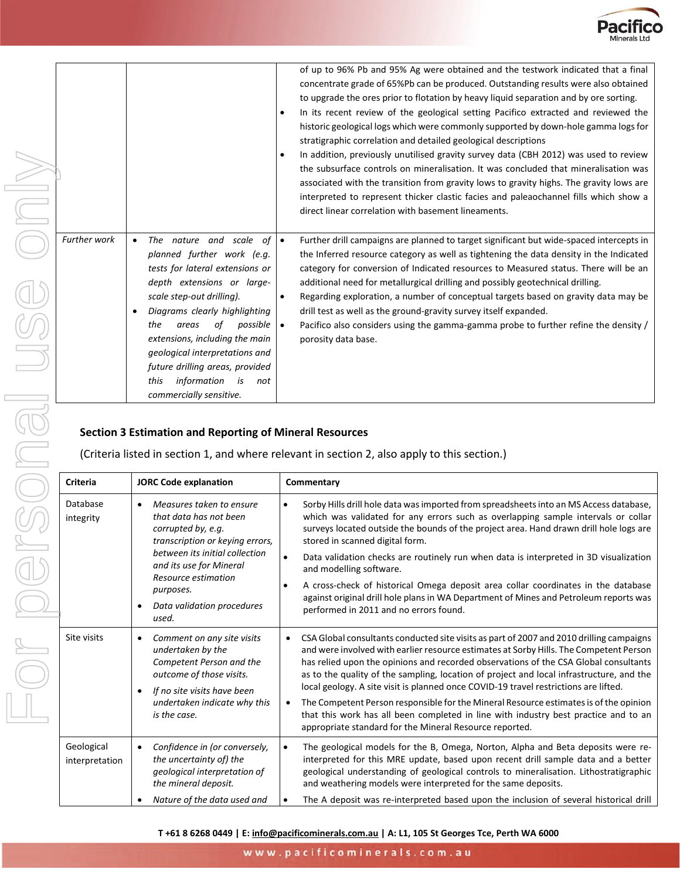

|                       |                                                                                                                                                                                                                                                                                                                                                                                                        | of up to 96% Pb and 95% Ag were obtained and the testwork indicated that a final<br>concentrate grade of 65%Pb can be produced. Outstanding results were also obtained<br>to upgrade the ores prior to flotation by heavy liquid separation and by ore sorting.<br>In its recent review of the geological setting Pacifico extracted and reviewed the<br>historic geological logs which were commonly supported by down-hole gamma logs for<br>stratigraphic correlation and detailed geological descriptions<br>In addition, previously unutilised gravity survey data (CBH 2012) was used to review<br>$\bullet$<br>the subsurface controls on mineralisation. It was concluded that mineralisation was<br>associated with the transition from gravity lows to gravity highs. The gravity lows are<br>interpreted to represent thicker clastic facies and paleaochannel fills which show a<br>direct linear correlation with basement lineaments. |
|-----------------------|--------------------------------------------------------------------------------------------------------------------------------------------------------------------------------------------------------------------------------------------------------------------------------------------------------------------------------------------------------------------------------------------------------|-----------------------------------------------------------------------------------------------------------------------------------------------------------------------------------------------------------------------------------------------------------------------------------------------------------------------------------------------------------------------------------------------------------------------------------------------------------------------------------------------------------------------------------------------------------------------------------------------------------------------------------------------------------------------------------------------------------------------------------------------------------------------------------------------------------------------------------------------------------------------------------------------------------------------------------------------------|
| <b>Further work</b>   | The nature and scale of<br>$\bullet$<br>planned further work (e.g.<br>tests for lateral extensions or<br>depth extensions or large-<br>scale step-out drilling).<br>Diagrams clearly highlighting<br>the<br>of<br>possible<br>areas<br>extensions, including the main<br>geological interpretations and<br>future drilling areas, provided<br>information is<br>this<br>not<br>commercially sensitive. | Further drill campaigns are planned to target significant but wide-spaced intercepts in<br>$\bullet$<br>the Inferred resource category as well as tightening the data density in the Indicated<br>category for conversion of Indicated resources to Measured status. There will be an<br>additional need for metallurgical drilling and possibly geotechnical drilling.<br>$\bullet$<br>Regarding exploration, a number of conceptual targets based on gravity data may be<br>drill test as well as the ground-gravity survey itself expanded.<br>Pacifico also considers using the gamma-gamma probe to further refine the density /<br>$\bullet$<br>porosity data base.                                                                                                                                                                                                                                                                           |
|                       | <b>Section 3 Estimation and Reporting of Mineral Resources</b>                                                                                                                                                                                                                                                                                                                                         | (Criteria listed in section 1, and where relevant in section 2, also apply to this section.)                                                                                                                                                                                                                                                                                                                                                                                                                                                                                                                                                                                                                                                                                                                                                                                                                                                        |
| Criteria              | <b>JORC Code explanation</b>                                                                                                                                                                                                                                                                                                                                                                           | Commentary                                                                                                                                                                                                                                                                                                                                                                                                                                                                                                                                                                                                                                                                                                                                                                                                                                                                                                                                          |
| Database<br>integrity | Measures taken to ensure<br>that data has not been<br>corrupted by, e.g.<br>transcription or keying errors,<br>between its initial collection<br>and its use for Mineral                                                                                                                                                                                                                               | Sorby Hills drill hole data was imported from spreadsheets into an MS Access database,<br>which was validated for any errors such as overlapping sample intervals or collar<br>surveys located outside the bounds of the project area. Hand drawn drill hole logs are<br>stored in scanned digital form.<br>Data validation checks are routinely run when data is interpreted in 3D visualization<br>$\bullet$                                                                                                                                                                                                                                                                                                                                                                                                                                                                                                                                      |
|                       | Resource estimation<br>purposes.                                                                                                                                                                                                                                                                                                                                                                       | and modelling software.<br>A cross-check of historical Omega deposit area collar coordinates in the database                                                                                                                                                                                                                                                                                                                                                                                                                                                                                                                                                                                                                                                                                                                                                                                                                                        |
|                       | Data validation procedures<br>٠<br>used.                                                                                                                                                                                                                                                                                                                                                               | against original drill hole plans in WA Department of Mines and Petroleum reports was<br>performed in 2011 and no errors found.                                                                                                                                                                                                                                                                                                                                                                                                                                                                                                                                                                                                                                                                                                                                                                                                                     |
| Site visits           | Comment on any site visits<br>٠<br>undertaken by the<br>Competent Person and the<br>outcome of those visits.<br>If no site visits have been<br>٠<br>undertaken indicate why this                                                                                                                                                                                                                       | CSA Global consultants conducted site visits as part of 2007 and 2010 drilling campaigns<br>$\bullet$<br>and were involved with earlier resource estimates at Sorby Hills. The Competent Person<br>has relied upon the opinions and recorded observations of the CSA Global consultants<br>as to the quality of the sampling, location of project and local infrastructure, and the<br>local geology. A site visit is planned once COVID-19 travel restrictions are lifted.<br>The Competent Person responsible for the Mineral Resource estimates is of the opinion<br>$\bullet$                                                                                                                                                                                                                                                                                                                                                                   |

#### **Section 3 Estimation and Reporting of Mineral Resources**

| Criteria                     | <b>JORC Code explanation</b>                                                                                                                                                                                                                                          | Commentary                                                                                                                                                                                                                                                                                                                                                                                                                                                                                                                                                                                                                                                                                                |  |  |
|------------------------------|-----------------------------------------------------------------------------------------------------------------------------------------------------------------------------------------------------------------------------------------------------------------------|-----------------------------------------------------------------------------------------------------------------------------------------------------------------------------------------------------------------------------------------------------------------------------------------------------------------------------------------------------------------------------------------------------------------------------------------------------------------------------------------------------------------------------------------------------------------------------------------------------------------------------------------------------------------------------------------------------------|--|--|
| Database<br>integrity        | Measures taken to ensure<br>$\bullet$<br>that data has not been<br>corrupted by, e.g.<br>transcription or keying errors,<br>between its initial collection<br>and its use for Mineral<br>Resource estimation<br>purposes.<br>Data validation procedures<br>٠<br>used. | Sorby Hills drill hole data was imported from spreadsheets into an MS Access database,<br>$\bullet$<br>which was validated for any errors such as overlapping sample intervals or collar<br>surveys located outside the bounds of the project area. Hand drawn drill hole logs are<br>stored in scanned digital form.<br>Data validation checks are routinely run when data is interpreted in 3D visualization<br>$\bullet$<br>and modelling software.<br>A cross-check of historical Omega deposit area collar coordinates in the database<br>$\bullet$<br>against original drill hole plans in WA Department of Mines and Petroleum reports was<br>performed in 2011 and no errors found.               |  |  |
| Site visits                  | Comment on any site visits<br>$\bullet$<br>undertaken by the<br>Competent Person and the<br>outcome of those visits.<br>If no site visits have been<br>$\bullet$<br>undertaken indicate why this<br>is the case.                                                      | CSA Global consultants conducted site visits as part of 2007 and 2010 drilling campaigns<br>and were involved with earlier resource estimates at Sorby Hills. The Competent Person<br>has relied upon the opinions and recorded observations of the CSA Global consultants<br>as to the quality of the sampling, location of project and local infrastructure, and the<br>local geology. A site visit is planned once COVID-19 travel restrictions are lifted.<br>The Competent Person responsible for the Mineral Resource estimates is of the opinion<br>that this work has all been completed in line with industry best practice and to an<br>appropriate standard for the Mineral Resource reported. |  |  |
| Geological<br>interpretation | Confidence in (or conversely,<br>$\bullet$<br>the uncertainty of) the<br>geological interpretation of<br>the mineral deposit.<br>Nature of the data used and                                                                                                          | The geological models for the B, Omega, Norton, Alpha and Beta deposits were re-<br>$\bullet$<br>interpreted for this MRE update, based upon recent drill sample data and a better<br>geological understanding of geological controls to mineralisation. Lithostratigraphic<br>and weathering models were interpreted for the same deposits.<br>The A deposit was re-interpreted based upon the inclusion of several historical drill<br>$\bullet$                                                                                                                                                                                                                                                        |  |  |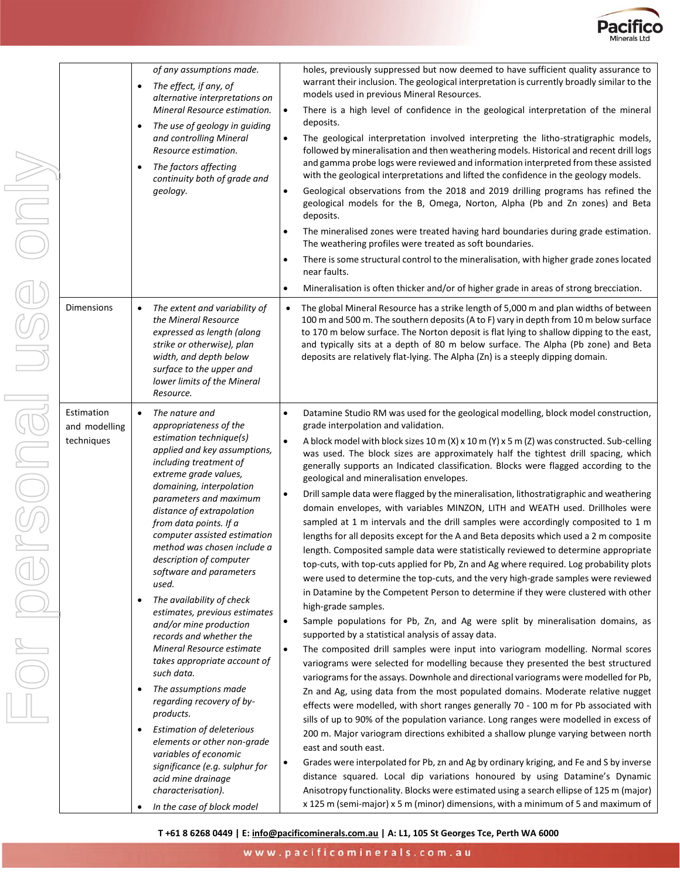

|                                           | of any assumptions made.<br>The effect, if any, of<br>$\bullet$<br>alternative interpretations on<br>Mineral Resource estimation.<br>The use of geology in guiding<br>$\bullet$<br>and controlling Mineral<br>Resource estimation.<br>The factors affecting<br>$\bullet$<br>continuity both of grade and<br>geology.                                                                                                                                                                                                                                                                                                                                                                                                                                                                                                                                                                                                  | holes, previously suppressed but now deemed to have sufficient quality assurance to<br>warrant their inclusion. The geological interpretation is currently broadly similar to the<br>models used in previous Mineral Resources.<br>There is a high level of confidence in the geological interpretation of the mineral<br>$\bullet$<br>deposits.<br>The geological interpretation involved interpreting the litho-stratigraphic models,<br>$\bullet$<br>followed by mineralisation and then weathering models. Historical and recent drill logs<br>and gamma probe logs were reviewed and information interpreted from these assisted<br>with the geological interpretations and lifted the confidence in the geology models.<br>Geological observations from the 2018 and 2019 drilling programs has refined the<br>$\bullet$<br>geological models for the B, Omega, Norton, Alpha (Pb and Zn zones) and Beta<br>deposits.<br>The mineralised zones were treated having hard boundaries during grade estimation.<br>The weathering profiles were treated as soft boundaries.<br>There is some structural control to the mineralisation, with higher grade zones located<br>$\bullet$<br>near faults.                                                                                                                                                                                                                                                                                                                                                                                                                                                                                                                                                                                                                                                                                                                                                                                                                                                                                                                                                                                                                                                                                                                                                                                                                               |
|-------------------------------------------|-----------------------------------------------------------------------------------------------------------------------------------------------------------------------------------------------------------------------------------------------------------------------------------------------------------------------------------------------------------------------------------------------------------------------------------------------------------------------------------------------------------------------------------------------------------------------------------------------------------------------------------------------------------------------------------------------------------------------------------------------------------------------------------------------------------------------------------------------------------------------------------------------------------------------|-------------------------------------------------------------------------------------------------------------------------------------------------------------------------------------------------------------------------------------------------------------------------------------------------------------------------------------------------------------------------------------------------------------------------------------------------------------------------------------------------------------------------------------------------------------------------------------------------------------------------------------------------------------------------------------------------------------------------------------------------------------------------------------------------------------------------------------------------------------------------------------------------------------------------------------------------------------------------------------------------------------------------------------------------------------------------------------------------------------------------------------------------------------------------------------------------------------------------------------------------------------------------------------------------------------------------------------------------------------------------------------------------------------------------------------------------------------------------------------------------------------------------------------------------------------------------------------------------------------------------------------------------------------------------------------------------------------------------------------------------------------------------------------------------------------------------------------------------------------------------------------------------------------------------------------------------------------------------------------------------------------------------------------------------------------------------------------------------------------------------------------------------------------------------------------------------------------------------------------------------------------------------------------------------------------------------------------------------------------------------------------------------------------------------------------|
|                                           |                                                                                                                                                                                                                                                                                                                                                                                                                                                                                                                                                                                                                                                                                                                                                                                                                                                                                                                       | Mineralisation is often thicker and/or of higher grade in areas of strong brecciation.<br>$\bullet$                                                                                                                                                                                                                                                                                                                                                                                                                                                                                                                                                                                                                                                                                                                                                                                                                                                                                                                                                                                                                                                                                                                                                                                                                                                                                                                                                                                                                                                                                                                                                                                                                                                                                                                                                                                                                                                                                                                                                                                                                                                                                                                                                                                                                                                                                                                                 |
| <b>Dimensions</b>                         | The extent and variability of<br>$\bullet$<br>the Mineral Resource<br>expressed as length (along<br>strike or otherwise), plan<br>width, and depth below<br>surface to the upper and<br>lower limits of the Mineral<br>Resource.                                                                                                                                                                                                                                                                                                                                                                                                                                                                                                                                                                                                                                                                                      | The global Mineral Resource has a strike length of 5,000 m and plan widths of between<br>$\bullet$<br>100 m and 500 m. The southern deposits (A to F) vary in depth from 10 m below surface<br>to 170 m below surface. The Norton deposit is flat lying to shallow dipping to the east,<br>and typically sits at a depth of 80 m below surface. The Alpha (Pb zone) and Beta<br>deposits are relatively flat-lying. The Alpha (Zn) is a steeply dipping domain.                                                                                                                                                                                                                                                                                                                                                                                                                                                                                                                                                                                                                                                                                                                                                                                                                                                                                                                                                                                                                                                                                                                                                                                                                                                                                                                                                                                                                                                                                                                                                                                                                                                                                                                                                                                                                                                                                                                                                                     |
| Estimation<br>and modelling<br>techniques | The nature and<br>$\bullet$<br>appropriateness of the<br>estimation technique(s)<br>applied and key assumptions,<br>including treatment of<br>extreme grade values,<br>domaining, interpolation<br>parameters and maximum<br>distance of extrapolation<br>from data points. If a<br>computer assisted estimation<br>method was chosen include a<br>description of computer<br>software and parameters<br>used.<br>The availability of check<br>$\bullet$<br>estimates, previous estimates<br>and/or mine production<br>records and whether the<br>Mineral Resource estimate<br>takes appropriate account of<br>such data.<br>The assumptions made<br>$\bullet$<br>regarding recovery of by-<br>products.<br><b>Estimation of deleterious</b><br>elements or other non-grade<br>variables of economic<br>significance (e.g. sulphur for<br>acid mine drainage<br>characterisation).<br>In the case of block model<br>٠ | Datamine Studio RM was used for the geological modelling, block model construction,<br>$\bullet$<br>grade interpolation and validation.<br>$\bullet$<br>A block model with block sizes 10 m (X) x 10 m (Y) x 5 m (Z) was constructed. Sub-celling<br>was used. The block sizes are approximately half the tightest drill spacing, which<br>generally supports an Indicated classification. Blocks were flagged according to the<br>geological and mineralisation envelopes.<br>Drill sample data were flagged by the mineralisation, lithostratigraphic and weathering<br>$\bullet$<br>domain envelopes, with variables MINZON, LITH and WEATH used. Drillholes were<br>sampled at 1 m intervals and the drill samples were accordingly composited to 1 m<br>lengths for all deposits except for the A and Beta deposits which used a 2 m composite<br>length. Composited sample data were statistically reviewed to determine appropriate<br>top-cuts, with top-cuts applied for Pb, Zn and Ag where required. Log probability plots<br>were used to determine the top-cuts, and the very high-grade samples were reviewed<br>in Datamine by the Competent Person to determine if they were clustered with other<br>high-grade samples.<br>$\bullet$<br>Sample populations for Pb, Zn, and Ag were split by mineralisation domains, as<br>supported by a statistical analysis of assay data.<br>$\bullet$<br>The composited drill samples were input into variogram modelling. Normal scores<br>variograms were selected for modelling because they presented the best structured<br>variograms for the assays. Downhole and directional variograms were modelled for Pb,<br>Zn and Ag, using data from the most populated domains. Moderate relative nugget<br>effects were modelled, with short ranges generally 70 - 100 m for Pb associated with<br>sills of up to 90% of the population variance. Long ranges were modelled in excess of<br>200 m. Major variogram directions exhibited a shallow plunge varying between north<br>east and south east.<br>Grades were interpolated for Pb, zn and Ag by ordinary kriging, and Fe and S by inverse<br>$\bullet$<br>distance squared. Local dip variations honoured by using Datamine's Dynamic<br>Anisotropy functionality. Blocks were estimated using a search ellipse of 125 m (major)<br>x 125 m (semi-major) x 5 m (minor) dimensions, with a minimum of 5 and maximum of |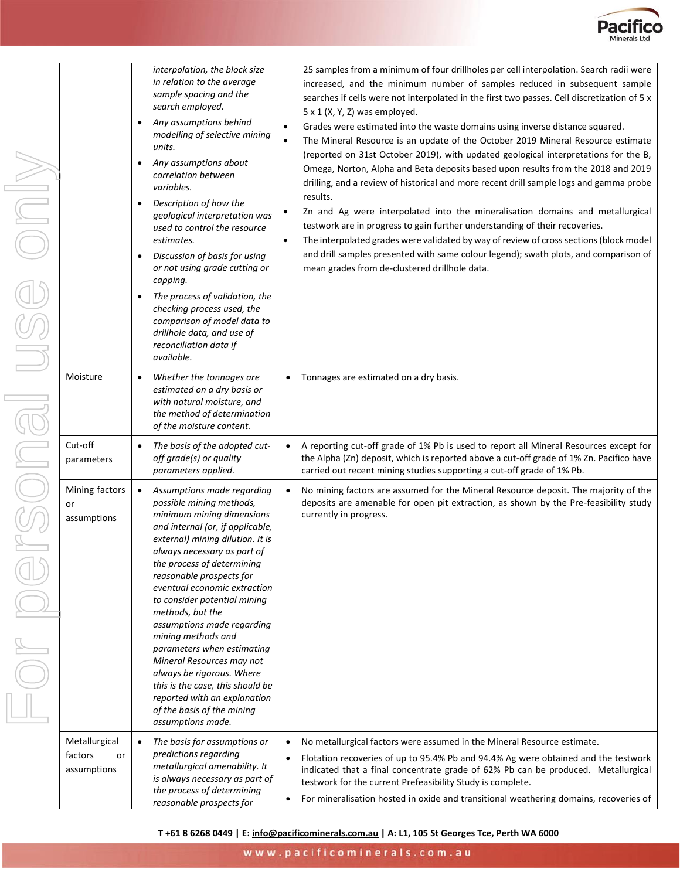

|  |                                               | interpolation, the block size<br>25 samples from a minimum of four drillholes per cell interpolation. Search radii were<br>in relation to the average<br>increased, and the minimum number of samples reduced in subsequent sample<br>sample spacing and the<br>searches if cells were not interpolated in the first two passes. Cell discretization of 5 x<br>search employed.<br>$5 \times 1$ (X, Y, Z) was employed.<br>Any assumptions behind<br>$\bullet$<br>Grades were estimated into the waste domains using inverse distance squared.<br>$\bullet$<br>modelling of selective mining<br>The Mineral Resource is an update of the October 2019 Mineral Resource estimate<br>$\bullet$<br>units.<br>(reported on 31st October 2019), with updated geological interpretations for the B,<br>Any assumptions about<br>٠<br>Omega, Norton, Alpha and Beta deposits based upon results from the 2018 and 2019<br>correlation between<br>drilling, and a review of historical and more recent drill sample logs and gamma probe<br>variables.<br>results.<br>Description of how the<br>$\bullet$<br>Zn and Ag were interpolated into the mineralisation domains and metallurgical<br>٠<br>geological interpretation was<br>testwork are in progress to gain further understanding of their recoveries.<br>used to control the resource<br>estimates.<br>The interpolated grades were validated by way of review of cross sections (block model<br>$\bullet$<br>and drill samples presented with same colour legend); swath plots, and comparison of<br>Discussion of basis for using<br>$\bullet$<br>or not using grade cutting or<br>mean grades from de-clustered drillhole data.<br>capping.<br>The process of validation, the<br>$\bullet$<br>checking process used, the<br>comparison of model data to<br>drillhole data, and use of<br>reconciliation data if<br>available. |
|--|-----------------------------------------------|------------------------------------------------------------------------------------------------------------------------------------------------------------------------------------------------------------------------------------------------------------------------------------------------------------------------------------------------------------------------------------------------------------------------------------------------------------------------------------------------------------------------------------------------------------------------------------------------------------------------------------------------------------------------------------------------------------------------------------------------------------------------------------------------------------------------------------------------------------------------------------------------------------------------------------------------------------------------------------------------------------------------------------------------------------------------------------------------------------------------------------------------------------------------------------------------------------------------------------------------------------------------------------------------------------------------------------------------------------------------------------------------------------------------------------------------------------------------------------------------------------------------------------------------------------------------------------------------------------------------------------------------------------------------------------------------------------------------------------------------------------------------------------------------------------------------------------------------------------------------------------|
|  | Moisture                                      | Whether the tonnages are<br>• Tonnages are estimated on a dry basis.<br>$\bullet$<br>estimated on a dry basis or<br>with natural moisture, and<br>the method of determination<br>of the moisture content.                                                                                                                                                                                                                                                                                                                                                                                                                                                                                                                                                                                                                                                                                                                                                                                                                                                                                                                                                                                                                                                                                                                                                                                                                                                                                                                                                                                                                                                                                                                                                                                                                                                                          |
|  | Cut-off<br>parameters                         | A reporting cut-off grade of 1% Pb is used to report all Mineral Resources except for<br>The basis of the adopted cut-<br>$\bullet$<br>$\bullet$<br>the Alpha (Zn) deposit, which is reported above a cut-off grade of 1% Zn. Pacifico have<br>off grade(s) or quality<br>carried out recent mining studies supporting a cut-off grade of 1% Pb.<br>parameters applied.                                                                                                                                                                                                                                                                                                                                                                                                                                                                                                                                                                                                                                                                                                                                                                                                                                                                                                                                                                                                                                                                                                                                                                                                                                                                                                                                                                                                                                                                                                            |
|  | Mining factors<br>or<br>assumptions           | No mining factors are assumed for the Mineral Resource deposit. The majority of the<br>Assumptions made regarding<br>$\bullet$<br>possible mining methods,<br>deposits are amenable for open pit extraction, as shown by the Pre-feasibility study<br>minimum mining dimensions<br>currently in progress.<br>and internal (or, if applicable,<br>external) mining dilution. It is<br>always necessary as part of<br>the process of determining<br>reasonable prospects for<br>eventual economic extraction<br>to consider potential mining<br>methods, but the<br>assumptions made regarding<br>mining methods and<br>parameters when estimating<br>Mineral Resources may not<br>always be rigorous. Where<br>this is the case, this should be<br>reported with an explanation<br>of the basis of the mining<br>assumptions made.                                                                                                                                                                                                                                                                                                                                                                                                                                                                                                                                                                                                                                                                                                                                                                                                                                                                                                                                                                                                                                                  |
|  | Metallurgical<br>factors<br>or<br>assumptions | The basis for assumptions or<br>No metallurgical factors were assumed in the Mineral Resource estimate.<br>$\bullet$<br>$\bullet$<br>predictions regarding<br>Flotation recoveries of up to 95.4% Pb and 94.4% Ag were obtained and the testwork<br>metallurgical amenability. It<br>indicated that a final concentrate grade of 62% Pb can be produced. Metallurgical<br>is always necessary as part of<br>testwork for the current Prefeasibility Study is complete.<br>the process of determining<br>For mineralisation hosted in oxide and transitional weathering domains, recoveries of<br>reasonable prospects for                                                                                                                                                                                                                                                                                                                                                                                                                                                                                                                                                                                                                                                                                                                                                                                                                                                                                                                                                                                                                                                                                                                                                                                                                                                          |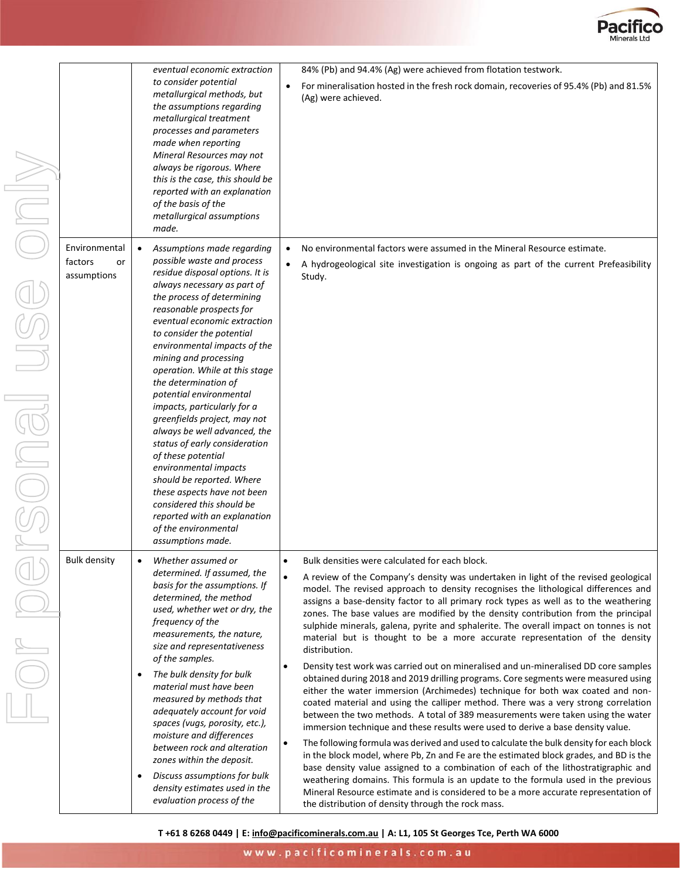

| ININ                                                                                                                                                                                                                                                                                                                                            | Environmental<br>factors<br>or | eventual economic extraction<br>to consider potential<br>metallurgical methods, but<br>the assumptions regarding<br>metallurgical treatment<br>processes and parameters<br>made when reporting<br>Mineral Resources may not<br>always be rigorous. Where<br>this is the case, this should be<br>reported with an explanation<br>of the basis of the<br>metallurgical assumptions<br>made.<br>Assumptions made regarding<br>possible waste and process                                                                                                                                                                                                                                    | 84% (Pb) and 94.4% (Ag) were achieved from flotation testwork.<br>For mineralisation hosted in the fresh rock domain, recoveries of 95.4% (Pb) and 81.5%<br>(Ag) were achieved.<br>No environmental factors were assumed in the Mineral Resource estimate.<br>A hydrogeological site investigation is ongoing as part of the current Prefeasibility                                                                                                                                                                                                                                                                                                                                                                                                                                                                                                                                                                                                                                                                                                                                                                                                                                                                                                                                                                                         |
|-------------------------------------------------------------------------------------------------------------------------------------------------------------------------------------------------------------------------------------------------------------------------------------------------------------------------------------------------|--------------------------------|------------------------------------------------------------------------------------------------------------------------------------------------------------------------------------------------------------------------------------------------------------------------------------------------------------------------------------------------------------------------------------------------------------------------------------------------------------------------------------------------------------------------------------------------------------------------------------------------------------------------------------------------------------------------------------------|---------------------------------------------------------------------------------------------------------------------------------------------------------------------------------------------------------------------------------------------------------------------------------------------------------------------------------------------------------------------------------------------------------------------------------------------------------------------------------------------------------------------------------------------------------------------------------------------------------------------------------------------------------------------------------------------------------------------------------------------------------------------------------------------------------------------------------------------------------------------------------------------------------------------------------------------------------------------------------------------------------------------------------------------------------------------------------------------------------------------------------------------------------------------------------------------------------------------------------------------------------------------------------------------------------------------------------------------|
| $\begin{picture}(40,4) \put(0,0){\line(1,0){155}} \put(15,0){\line(1,0){155}} \put(15,0){\line(1,0){155}} \put(15,0){\line(1,0){155}} \put(15,0){\line(1,0){155}} \put(15,0){\line(1,0){155}} \put(15,0){\line(1,0){155}} \put(15,0){\line(1,0){155}} \put(15,0){\line(1,0){155}} \put(15,0){\line(1,0){155}} \put(15,0){\line(1,0){155}} \put$ | assumptions                    | residue disposal options. It is<br>always necessary as part of<br>the process of determining<br>reasonable prospects for<br>eventual economic extraction<br>to consider the potential<br>environmental impacts of the<br>mining and processing<br>operation. While at this stage<br>the determination of<br>potential environmental<br>impacts, particularly for a<br>greenfields project, may not<br>always be well advanced, the<br>status of early consideration<br>of these potential<br>environmental impacts<br>should be reported. Where<br>these aspects have not been<br>considered this should be<br>reported with an explanation<br>of the environmental<br>assumptions made. | Study.                                                                                                                                                                                                                                                                                                                                                                                                                                                                                                                                                                                                                                                                                                                                                                                                                                                                                                                                                                                                                                                                                                                                                                                                                                                                                                                                      |
|                                                                                                                                                                                                                                                                                                                                                 | <b>Bulk density</b>            | Whether assumed or<br>determined. If assumed, the<br>basis for the assumptions. If<br>determined, the method<br>used, whether wet or dry, the<br>frequency of the<br>measurements, the nature,<br>size and representativeness<br>of the samples.<br>The bulk density for bulk<br>٠<br>material must have been<br>measured by methods that<br>adequately account for void<br>spaces (vugs, porosity, etc.),<br>moisture and differences<br>between rock and alteration<br>zones within the deposit.                                                                                                                                                                                       | Bulk densities were calculated for each block.<br>A review of the Company's density was undertaken in light of the revised geological<br>model. The revised approach to density recognises the lithological differences and<br>assigns a base-density factor to all primary rock types as well as to the weathering<br>zones. The base values are modified by the density contribution from the principal<br>sulphide minerals, galena, pyrite and sphalerite. The overall impact on tonnes is not<br>material but is thought to be a more accurate representation of the density<br>distribution.<br>Density test work was carried out on mineralised and un-mineralised DD core samples<br>$\bullet$<br>obtained during 2018 and 2019 drilling programs. Core segments were measured using<br>either the water immersion (Archimedes) technique for both wax coated and non-<br>coated material and using the calliper method. There was a very strong correlation<br>between the two methods. A total of 389 measurements were taken using the water<br>immersion technique and these results were used to derive a base density value.<br>The following formula was derived and used to calculate the bulk density for each block<br>$\bullet$<br>in the block model, where Pb, Zn and Fe are the estimated block grades, and BD is the |

• *Discuss assumptions for bulk density estimates used in the evaluation process of the* 

# re assumed in the Mineral Resource estimate.

base density value assigned to a combination of each of the lithostratigraphic and weathering domains. This formula is an update to the formula used in the previous Mineral Resource estimate and is considered to be a more accurate representation of

www.pacificominerals.com.au

the distribution of density through the rock mass.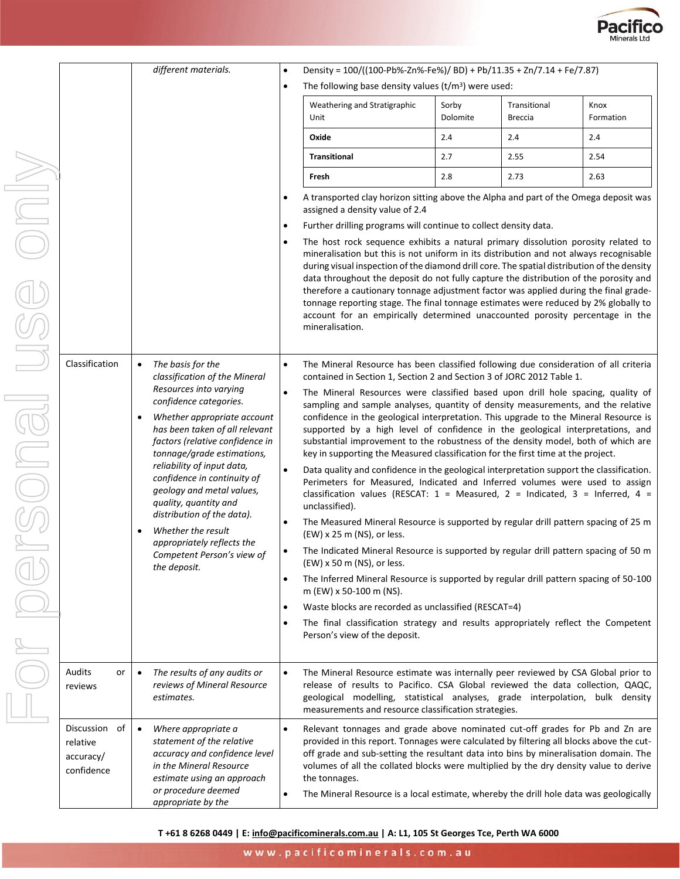

|              |                         | different materials.                                                                                            | Density = 100/((100-Pb%-Zn%-Fe%)/ BD) + Pb/11.35 + Zn/7.14 + Fe/7.87)<br>$\bullet$                                                                                                                                                                                                                                                                                                   |  |  |  |  |  |
|--------------|-------------------------|-----------------------------------------------------------------------------------------------------------------|--------------------------------------------------------------------------------------------------------------------------------------------------------------------------------------------------------------------------------------------------------------------------------------------------------------------------------------------------------------------------------------|--|--|--|--|--|
|              |                         | The following base density values $(t/m3)$ were used:<br>$\bullet$                                              |                                                                                                                                                                                                                                                                                                                                                                                      |  |  |  |  |  |
|              |                         |                                                                                                                 | Weathering and Stratigraphic<br>Sorby<br>Transitional<br>Kno<br>Dolomite<br>Unit<br>Breccia<br>For                                                                                                                                                                                                                                                                                   |  |  |  |  |  |
|              |                         |                                                                                                                 | Oxide<br>2.4<br>2.4<br>2.4                                                                                                                                                                                                                                                                                                                                                           |  |  |  |  |  |
|              |                         |                                                                                                                 | 2.5<br><b>Transitional</b><br>2.7<br>2.55                                                                                                                                                                                                                                                                                                                                            |  |  |  |  |  |
|              |                         |                                                                                                                 | Fresh<br>2.8<br>2.73<br>2.6                                                                                                                                                                                                                                                                                                                                                          |  |  |  |  |  |
| <b>SIDIO</b> |                         |                                                                                                                 | A transported clay horizon sitting above the Alpha and part of the Omega<br>assigned a density value of 2.4                                                                                                                                                                                                                                                                          |  |  |  |  |  |
|              |                         |                                                                                                                 | Further drilling programs will continue to collect density data.                                                                                                                                                                                                                                                                                                                     |  |  |  |  |  |
|              |                         |                                                                                                                 | The host rock sequence exhibits a natural primary dissolution porosit<br>mineralisation but this is not uniform in its distribution and not always<br>during visual inspection of the diamond drill core. The spatial distribution o                                                                                                                                                 |  |  |  |  |  |
|              |                         |                                                                                                                 | data throughout the deposit do not fully capture the distribution of the<br>therefore a cautionary tonnage adjustment factor was applied during the<br>tonnage reporting stage. The final tonnage estimates were reduced by 29<br>account for an empirically determined unaccounted porosity percen                                                                                  |  |  |  |  |  |
|              |                         |                                                                                                                 | mineralisation.                                                                                                                                                                                                                                                                                                                                                                      |  |  |  |  |  |
|              | Classification          | The basis for the<br>$\bullet$<br>classification of the Mineral                                                 | The Mineral Resource has been classified following due consideration or<br>$\bullet$<br>contained in Section 1, Section 2 and Section 3 of JORC 2012 Table 1.                                                                                                                                                                                                                        |  |  |  |  |  |
|              |                         | Resources into varying<br>confidence categories.                                                                | The Mineral Resources were classified based upon drill hole spacing<br>$\bullet$<br>sampling and sample analyses, quantity of density measurements, and<br>confidence in the geological interpretation. This upgrade to the Mineral<br>supported by a high level of confidence in the geological interpre<br>substantial improvement to the robustness of the density model, both of |  |  |  |  |  |
| BIUIC        |                         | Whether appropriate account<br>has been taken of all relevant<br>factors (relative confidence in                |                                                                                                                                                                                                                                                                                                                                                                                      |  |  |  |  |  |
|              |                         | tonnage/grade estimations,                                                                                      | key in supporting the Measured classification for the first time at the proj                                                                                                                                                                                                                                                                                                         |  |  |  |  |  |
|              |                         | reliability of input data,<br>confidence in continuity of<br>geology and metal values,<br>quality, quantity and | Data quality and confidence in the geological interpretation support the c<br>Perimeters for Measured, Indicated and Inferred volumes were use<br>classification values (RESCAT: $1 =$ Measured, $2 =$ Indicated, $3 =$ In<br>unclassified).                                                                                                                                         |  |  |  |  |  |
|              |                         | distribution of the data).<br>Whether the result                                                                | The Measured Mineral Resource is supported by regular drill pattern spa<br>(EW) x 25 m (NS), or less.                                                                                                                                                                                                                                                                                |  |  |  |  |  |
|              |                         | appropriately reflects the<br>Competent Person's view of<br>the deposit.                                        | The Indicated Mineral Resource is supported by regular drill pattern spa<br>(EW) x 50 m (NS), or less.                                                                                                                                                                                                                                                                               |  |  |  |  |  |
|              |                         |                                                                                                                 | The Inferred Mineral Resource is supported by regular drill pattern spaci<br>m (EW) x 50-100 m (NS).                                                                                                                                                                                                                                                                                 |  |  |  |  |  |
|              |                         |                                                                                                                 | Waste blocks are recorded as unclassified (RESCAT=4)<br>٠                                                                                                                                                                                                                                                                                                                            |  |  |  |  |  |
|              |                         |                                                                                                                 | The final classification strategy and results appropriately reflect the<br>Person's view of the deposit.                                                                                                                                                                                                                                                                             |  |  |  |  |  |
|              | Audits<br>or<br>reviews | The results of any audits or<br>reviews of Mineral Resource<br>estimates.                                       | The Mineral Resource estimate was internally peer reviewed by CSA Glo<br>release of results to Pacifico. CSA Global reviewed the data collec<br>geological modelling, statistical analyses, grade interpolation, b<br>measurements and resource classification strategies.                                                                                                           |  |  |  |  |  |
|              | Discussion of           | Where appropriate a                                                                                             | Relevant tonnages and grade above nominated cut-off grades for Pb                                                                                                                                                                                                                                                                                                                    |  |  |  |  |  |

|                                      |           | The following base density values $(t/m3)$ were used:                                                                                                                                                                                                                                                                                                                                                                                                                                                                                                                                                                                                                                                                                                                                                                                                |                   |                                |                   |  |  |  |
|--------------------------------------|-----------|------------------------------------------------------------------------------------------------------------------------------------------------------------------------------------------------------------------------------------------------------------------------------------------------------------------------------------------------------------------------------------------------------------------------------------------------------------------------------------------------------------------------------------------------------------------------------------------------------------------------------------------------------------------------------------------------------------------------------------------------------------------------------------------------------------------------------------------------------|-------------------|--------------------------------|-------------------|--|--|--|
|                                      |           | Weathering and Stratigraphic<br>Unit                                                                                                                                                                                                                                                                                                                                                                                                                                                                                                                                                                                                                                                                                                                                                                                                                 | Sorby<br>Dolomite | Transitional<br><b>Breccia</b> | Knox<br>Formation |  |  |  |
|                                      |           | Oxide                                                                                                                                                                                                                                                                                                                                                                                                                                                                                                                                                                                                                                                                                                                                                                                                                                                | 2.4               | 2.4                            | 2.4               |  |  |  |
|                                      |           | <b>Transitional</b>                                                                                                                                                                                                                                                                                                                                                                                                                                                                                                                                                                                                                                                                                                                                                                                                                                  | 2.7               | 2.55                           | 2.54              |  |  |  |
|                                      |           | Fresh                                                                                                                                                                                                                                                                                                                                                                                                                                                                                                                                                                                                                                                                                                                                                                                                                                                | 2.8               | 2.73                           | 2.63              |  |  |  |
|                                      | $\bullet$ | A transported clay horizon sitting above the Alpha and part of the Omega deposit was<br>assigned a density value of 2.4<br>Further drilling programs will continue to collect density data.<br>The host rock sequence exhibits a natural primary dissolution porosity related to<br>mineralisation but this is not uniform in its distribution and not always recognisable<br>during visual inspection of the diamond drill core. The spatial distribution of the density<br>data throughout the deposit do not fully capture the distribution of the porosity and<br>therefore a cautionary tonnage adjustment factor was applied during the final grade-<br>tonnage reporting stage. The final tonnage estimates were reduced by 2% globally to<br>account for an empirically determined unaccounted porosity percentage in the<br>mineralisation. |                   |                                |                   |  |  |  |
|                                      | ٠         |                                                                                                                                                                                                                                                                                                                                                                                                                                                                                                                                                                                                                                                                                                                                                                                                                                                      |                   |                                |                   |  |  |  |
|                                      |           |                                                                                                                                                                                                                                                                                                                                                                                                                                                                                                                                                                                                                                                                                                                                                                                                                                                      |                   |                                |                   |  |  |  |
| ıeral                                | $\bullet$ | The Mineral Resource has been classified following due consideration of all criteria<br>contained in Section 1, Section 2 and Section 3 of JORC 2012 Table 1.                                                                                                                                                                                                                                                                                                                                                                                                                                                                                                                                                                                                                                                                                        |                   |                                |                   |  |  |  |
| ccount<br>levant<br>nce in?<br>ions, | $\bullet$ | The Mineral Resources were classified based upon drill hole spacing, quality of<br>sampling and sample analyses, quantity of density measurements, and the relative<br>confidence in the geological interpretation. This upgrade to the Mineral Resource is<br>supported by a high level of confidence in the geological interpretations, and<br>substantial improvement to the robustness of the density model, both of which are<br>key in supporting the Measured classification for the first time at the project.                                                                                                                                                                                                                                                                                                                               |                   |                                |                   |  |  |  |
| ∕ of<br>es,                          |           | Data quality and confidence in the geological interpretation support the classification.<br>Perimeters for Measured, Indicated and Inferred volumes were used to assign<br>classification values (RESCAT: $1 =$ Measured, $2 =$ Indicated, $3 =$ Inferred, $4 =$<br>unclassified).                                                                                                                                                                                                                                                                                                                                                                                                                                                                                                                                                                   |                   |                                |                   |  |  |  |
| ).<br>he<br>w of                     | $\bullet$ | The Measured Mineral Resource is supported by regular drill pattern spacing of 25 m<br>(EW) x 25 m (NS), or less.                                                                                                                                                                                                                                                                                                                                                                                                                                                                                                                                                                                                                                                                                                                                    |                   |                                |                   |  |  |  |
|                                      |           | The Indicated Mineral Resource is supported by regular drill pattern spacing of 50 m<br>(EW) x 50 m (NS), or less.                                                                                                                                                                                                                                                                                                                                                                                                                                                                                                                                                                                                                                                                                                                                   |                   |                                |                   |  |  |  |
|                                      | ٠         | The Inferred Mineral Resource is supported by regular drill pattern spacing of 50-100<br>m (EW) x 50-100 m (NS).                                                                                                                                                                                                                                                                                                                                                                                                                                                                                                                                                                                                                                                                                                                                     |                   |                                |                   |  |  |  |
|                                      | $\bullet$ | Waste blocks are recorded as unclassified (RESCAT=4)                                                                                                                                                                                                                                                                                                                                                                                                                                                                                                                                                                                                                                                                                                                                                                                                 |                   |                                |                   |  |  |  |
|                                      | $\bullet$ | The final classification strategy and results appropriately reflect the Competent<br>Person's view of the deposit.                                                                                                                                                                                                                                                                                                                                                                                                                                                                                                                                                                                                                                                                                                                                   |                   |                                |                   |  |  |  |

|                                                      |    |                                                                                                                                                                                                      | <b>FULLO VIEW UI LITE UE PUSIL.</b>                                                                                                                                                                                                                                                                                                                                                                                                                                  |
|------------------------------------------------------|----|------------------------------------------------------------------------------------------------------------------------------------------------------------------------------------------------------|----------------------------------------------------------------------------------------------------------------------------------------------------------------------------------------------------------------------------------------------------------------------------------------------------------------------------------------------------------------------------------------------------------------------------------------------------------------------|
| Audits<br>reviews                                    | or | The results of any audits or<br>$\bullet$<br>reviews of Mineral Resource<br>estimates.                                                                                                               | The Mineral Resource estimate was internally peer reviewed by CSA Global prior to<br>release of results to Pacifico. CSA Global reviewed the data collection, QAQC,<br>modelling, statistical analyses, grade interpolation, bulk density<br>geological<br>measurements and resource classification strategies.                                                                                                                                                      |
| Discussion of<br>relative<br>accuracy/<br>confidence |    | Where appropriate a<br>$\bullet$<br>statement of the relative<br>accuracy and confidence level<br>in the Mineral Resource<br>estimate using an approach<br>or procedure deemed<br>appropriate by the | Relevant tonnages and grade above nominated cut-off grades for Pb and Zn are<br>provided in this report. Tonnages were calculated by filtering all blocks above the cut-<br>off grade and sub-setting the resultant data into bins by mineralisation domain. The<br>volumes of all the collated blocks were multiplied by the dry density value to derive<br>the tonnages.<br>The Mineral Resource is a local estimate, whereby the drill hole data was geologically |